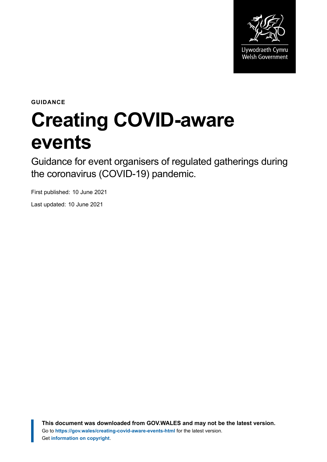

**GUIDANCE**

# **Creating COVID-aware events**

Guidance for event organisers of regulated gatherings during the coronavirus (COVID-19) pandemic.

First published: 10 June 2021

Last updated: 10 June 2021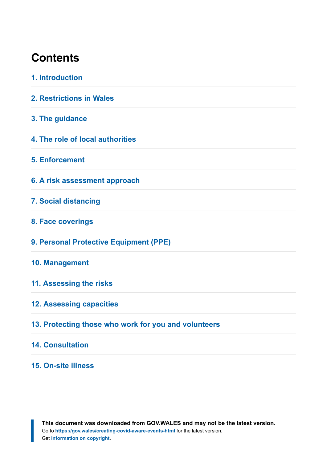#### **Contents**

| 1. Introduction                                      |
|------------------------------------------------------|
| <b>2. Restrictions in Wales</b>                      |
| 3. The guidance                                      |
| 4. The role of local authorities                     |
| <b>5. Enforcement</b>                                |
| 6. A risk assessment approach                        |
| <b>7. Social distancing</b>                          |
| 8. Face coverings                                    |
| 9. Personal Protective Equipment (PPE)               |
| 10. Management                                       |
| 11. Assessing the risks                              |
| <b>12. Assessing capacities</b>                      |
| 13. Protecting those who work for you and volunteers |
| <b>14. Consultation</b>                              |
| 15. On-site illness                                  |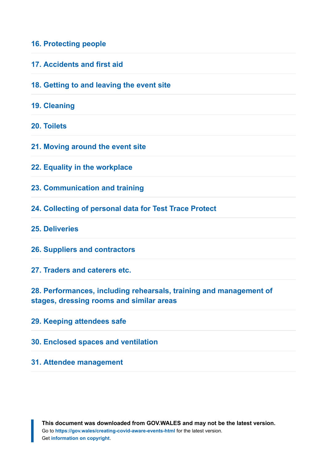#### **[16. Protecting people](#page-25-0)**

- **[17. Accidents and first aid](#page-26-0)**
- **[18. Getting to and leaving the event site](#page-26-1)**
- **[19. Cleaning](#page-26-2)**

**[20. Toilets](#page-26-3)**

- **[21. Moving around the event site](#page-27-0)**
- **[22. Equality in the workplace](#page-27-1)**
- **[23. Communication and training](#page-28-0)**
- **[24. Collecting of personal data for Test Trace Protect](#page-29-0)**
- **[25. Deliveries](#page-31-0)**
- **[26. Suppliers and contractors](#page-31-1)**

**[27. Traders and caterers etc.](#page-32-0)**

**[28. Performances, including rehearsals, training and management of](#page-32-1) [stages, dressing rooms and similar areas](#page-32-1)**

- **[29. Keeping attendees safe](#page-32-2)**
- **[30. Enclosed spaces and ventilation](#page-33-0)**
- **[31. Attendee management](#page-36-0)**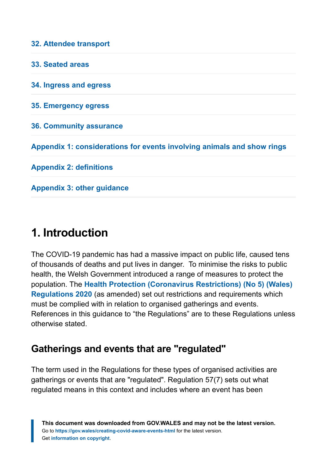| <b>32. Attendee transport</b>                                          |
|------------------------------------------------------------------------|
| <b>33. Seated areas</b>                                                |
| 34. Ingress and egress                                                 |
| <b>35. Emergency egress</b>                                            |
| <b>36. Community assurance</b>                                         |
| Appendix 1: considerations for events involving animals and show rings |
| <b>Appendix 2: definitions</b>                                         |
| <b>Appendix 3: other guidance</b>                                      |

### <span id="page-3-0"></span>**1. Introduction**

The COVID-19 pandemic has had a massive impact on public life, caused tens of thousands of deaths and put lives in danger. To minimise the risks to public health, the Welsh Government introduced a range of measures to protect the population. The **[Health Protection \(Coronavirus Restrictions\) \(No 5\) \(Wales\)](https://gov.wales/health-protection-coronavirus-restrictions-no-5-wales-regulations-2020-amended) [Regulations 2020](https://gov.wales/health-protection-coronavirus-restrictions-no-5-wales-regulations-2020-amended)** (as amended) set out restrictions and requirements which must be complied with in relation to organised gatherings and events. References in this guidance to "the Regulations" are to these Regulations unless otherwise stated.

#### **Gatherings and events that are "regulated"**

The term used in the Regulations for these types of organised activities are gatherings or events that are "regulated". Regulation 57(7) sets out what regulated means in this context and includes where an event has been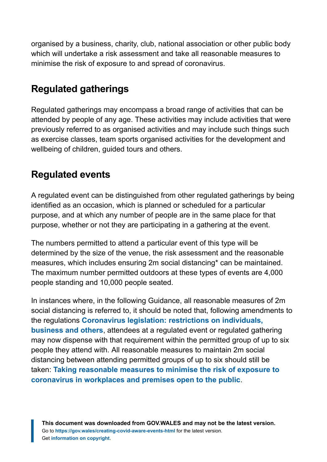organised by a business, charity, club, national association or other public body which will undertake a risk assessment and take all reasonable measures to minimise the risk of exposure to and spread of coronavirus.

#### **Regulated gatherings**

Regulated gatherings may encompass a broad range of activities that can be attended by people of any age. These activities may include activities that were previously referred to as organised activities and may include such things such as exercise classes, team sports organised activities for the development and wellbeing of children, guided tours and others.

#### **Regulated events**

A regulated event can be distinguished from other regulated gatherings by being identified as an occasion, which is planned or scheduled for a particular purpose, and at which any number of people are in the same place for that purpose, whether or not they are participating in a gathering at the event.

The numbers permitted to attend a particular event of this type will be determined by the size of the venue, the risk assessment and the reasonable measures, which includes ensuring 2m social distancing\* can be maintained. The maximum number permitted outdoors at these types of events are 4,000 people standing and 10,000 people seated.

In instances where, in the following Guidance, all reasonable measures of 2m social distancing is referred to, it should be noted that, following amendments to the regulations **[Coronavirus legislation: restrictions on individuals,](https://gov.wales/coronavirus-legislation-restrictions-individuals-business-and-others) [business and others](https://gov.wales/coronavirus-legislation-restrictions-individuals-business-and-others)**, attendees at a regulated event or regulated gathering may now dispense with that requirement within the permitted group of up to six people they attend with. All reasonable measures to maintain 2m social distancing between attending permitted groups of up to six should still be taken: **[Taking reasonable measures to minimise the risk of exposure to](https://gov.wales/taking-reasonable-measures-minimise-risk-exposure-coronavirus-workplaces-and-premises-open-public) [coronavirus in workplaces and premises open to the public](https://gov.wales/taking-reasonable-measures-minimise-risk-exposure-coronavirus-workplaces-and-premises-open-public)**.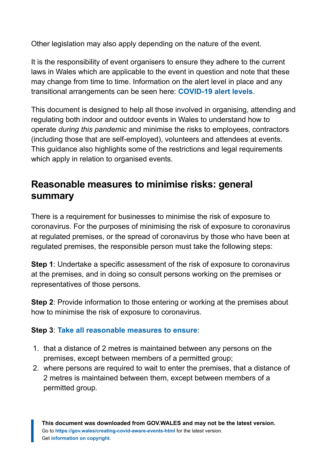Other legislation may also apply depending on the nature of the event.

It is the responsibility of event organisers to ensure they adhere to the current laws in Wales which are applicable to the event in question and note that these may change from time to time. Information on the alert level in place and any transitional arrangements can be seen here: **[COVID-19 alert levels](https://gov.wales/covid-19-alert-levels)**.

This document is designed to help all those involved in organising, attending and regulating both indoor and outdoor events in Wales to understand how to operate *during this pandemic* and minimise the risks to employees, contractors (including those that are self-employed), volunteers and attendees at events. This guidance also highlights some of the restrictions and legal requirements which apply in relation to organised events.

#### **Reasonable measures to minimise risks: general summary**

There is a requirement for businesses to minimise the risk of exposure to coronavirus. For the purposes of minimising the risk of exposure to coronavirus at regulated premises, or the spread of coronavirus by those who have been at regulated premises, the responsible person must take the following steps:

**Step 1**: Undertake a specific assessment of the risk of exposure to coronavirus at the premises, and in doing so consult persons working on the premises or representatives of those persons.

**Step 2**: Provide information to those entering or working at the premises about how to minimise the risk of exposure to coronavirus.

#### **Step 3**: **[Take all reasonable measures](https://gov.wales/taking-reasonable-measures-minimise-risk-exposure-coronavirus-workplaces-and-premises-open-public) to ensure**:

- 1. that a distance of 2 metres is maintained between any persons on the premises, except between members of a permitted group;
- 2. where persons are required to wait to enter the premises, that a distance of 2 metres is maintained between them, except between members of a permitted group.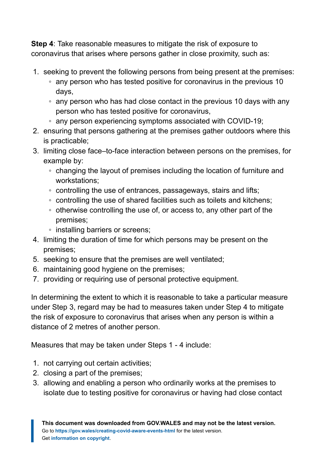**Step 4**: Take reasonable measures to mitigate the risk of exposure to coronavirus that arises where persons gather in close proximity, such as:

- 1. seeking to prevent the following persons from being present at the premises:
	- any person who has tested positive for coronavirus in the previous 10 days,
	- any person who has had close contact in the previous 10 days with any person who has tested positive for coronavirus,
	- any person experiencing symptoms associated with COVID-19;
- 2. ensuring that persons gathering at the premises gather outdoors where this is practicable;
- 3. limiting close face–to-face interaction between persons on the premises, for example by:
	- changing the layout of premises including the location of furniture and workstations;
	- controlling the use of entrances, passageways, stairs and lifts;
	- controlling the use of shared facilities such as toilets and kitchens;
	- otherwise controlling the use of, or access to, any other part of the premises;
	- installing barriers or screens;
- 4. limiting the duration of time for which persons may be present on the premises;
- 5. seeking to ensure that the premises are well ventilated;
- 6. maintaining good hygiene on the premises;
- 7. providing or requiring use of personal protective equipment.

In determining the extent to which it is reasonable to take a particular measure under Step 3, regard may be had to measures taken under Step 4 to mitigate the risk of exposure to coronavirus that arises when any person is within a distance of 2 metres of another person.

Measures that may be taken under Steps 1 - 4 include:

- 1. not carrying out certain activities;
- 2. closing a part of the premises;
- 3. allowing and enabling a person who ordinarily works at the premises to isolate due to testing positive for coronavirus or having had close contact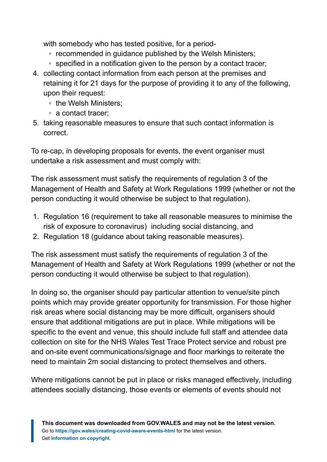with somebody who has tested positive, for a period-

- recommended in guidance published by the Welsh Ministers;
- specified in a notification given to the person by a contact tracer;
- 4. collecting contact information from each person at the premises and retaining it for 21 days for the purpose of providing it to any of the following, upon their request:
	- the Welsh Ministers;
	- a contact tracer;
- 5. taking reasonable measures to ensure that such contact information is correct.

To re-cap, in developing proposals for events, the event organiser must undertake a risk assessment and must comply with:

The risk assessment must satisfy the requirements of regulation 3 of the Management of Health and Safety at Work Regulations 1999 (whether or not the person conducting it would otherwise be subject to that regulation).

- 1. Regulation 16 (requirement to take all reasonable measures to minimise the risk of exposure to coronavirus) including social distancing, and
- 2. Regulation 18 (guidance about taking reasonable measures).

The risk assessment must satisfy the requirements of regulation 3 of the Management of Health and Safety at Work Regulations 1999 (whether or not the person conducting it would otherwise be subject to that regulation).

In doing so, the organiser should pay particular attention to venue/site pinch points which may provide greater opportunity for transmission. For those higher risk areas where social distancing may be more difficult, organisers should ensure that additional mitigations are put in place. While mitigations will be specific to the event and venue, this should include full staff and attendee data collection on site for the NHS Wales Test Trace Protect service and robust pre and on-site event communications/signage and floor markings to reiterate the need to maintain 2m social distancing to protect themselves and others.

Where mitigations cannot be put in place or risks managed effectively, including attendees socially distancing, those events or elements of events should not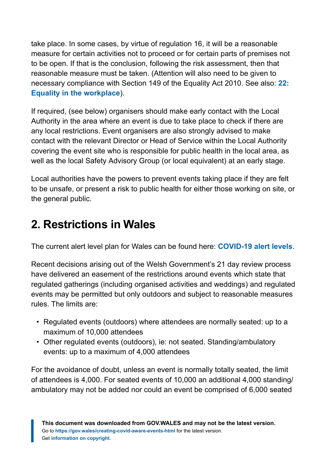take place. In some cases, by virtue of regulation 16, it will be a reasonable measure for certain activities not to proceed or for certain parts of premises not to be open. If that is the conclusion, following the risk assessment, then that reasonable measure must be taken. (Attention will also need to be given to necessary compliance with Section 149 of the Equality Act 2010. See also: **[22:](https://gov.wales/keep-wales-safe-creating-covid-aware-events-html#section-72144) [Equality in the workplace](https://gov.wales/keep-wales-safe-creating-covid-aware-events-html#section-72144)**).

If required, (see below) organisers should make early contact with the Local Authority in the area where an event is due to take place to check if there are any local restrictions. Event organisers are also strongly advised to make contact with the relevant Director or Head of Service within the Local Authority covering the event site who is responsible for public health in the local area, as well as the local Safety Advisory Group (or local equivalent) at an early stage.

Local authorities have the powers to prevent events taking place if they are felt to be unsafe, or present a risk to public health for either those working on site, or the general public.

### <span id="page-8-0"></span>**2. Restrictions in Wales**

The current alert level plan for Wales can be found here: **[COVID-19 alert levels](https://gov.wales/covid-19-alert-levels)**.

Recent decisions arising out of the Welsh Government's 21 day review process have delivered an easement of the restrictions around events which state that regulated gatherings (including organised activities and weddings) and regulated events may be permitted but only outdoors and subject to reasonable measures rules. The limits are:

- Regulated events (outdoors) where attendees are normally seated: up to a maximum of 10,000 attendees
- Other regulated events (outdoors), ie: not seated. Standing/ambulatory events: up to a maximum of 4,000 attendees

For the avoidance of doubt, unless an event is normally totally seated, the limit of attendees is 4,000. For seated events of 10,000 an additional 4,000 standing/ ambulatory may not be added nor could an event be comprised of 6,000 seated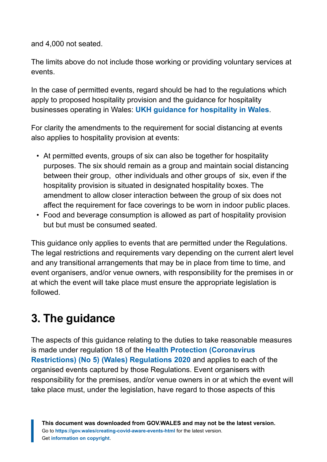and 4,000 not seated.

The limits above do not include those working or providing voluntary services at events.

In the case of permitted events, regard should be had to the regulations which apply to proposed hospitality provision and the guidance for hospitality businesses operating in Wales: **[UKH guidance for hospitality in Wales](https://www.ukhospitality.org.uk/page/WalesGuidance)**.

For clarity the amendments to the requirement for social distancing at events also applies to hospitality provision at events:

- At permitted events, groups of six can also be together for hospitality purposes. The six should remain as a group and maintain social distancing between their group, other individuals and other groups of six, even if the hospitality provision is situated in designated hospitality boxes. The amendment to allow closer interaction between the group of six does not affect the requirement for face coverings to be worn in indoor public places.
- Food and beverage consumption is allowed as part of hospitality provision but but must be consumed seated.

This guidance only applies to events that are permitted under the Regulations. The legal restrictions and requirements vary depending on the current alert level and any transitional arrangements that may be in place from time to time, and event organisers, and/or venue owners, with responsibility for the premises in or at which the event will take place must ensure the appropriate legislation is followed.

## <span id="page-9-0"></span>**3. The guidance**

The aspects of this guidance relating to the duties to take reasonable measures is made under regulation 18 of the **[Health Protection \(Coronavirus](https://gov.wales/health-protection-coronavirus-restrictions-no-5-wales-regulations-2020-amended) [Restrictions\) \(No 5\) \(Wales\) Regulations 2020](https://gov.wales/health-protection-coronavirus-restrictions-no-5-wales-regulations-2020-amended)** and applies to each of the organised events captured by those Regulations. Event organisers with responsibility for the premises, and/or venue owners in or at which the event will take place must, under the legislation, have regard to those aspects of this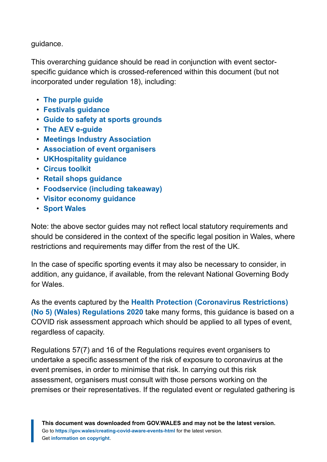guidance.

This overarching guidance should be read in conjunction with event sectorspecific guidance which is crossed-referenced within this document (but not incorporated under regulation 18), including:

- **[The purple guide](https://www.thepurpleguide.co.uk/)**
- **[Festivals guidance](https://www.thepurpleguide.co.uk/index.php/the-purple-guide/information-news-updates/121-new-covid-19-planning-guidance-published-for-uk-festivals)**
- **[Guide to safety at sports grounds](https://sgsa.org.uk/greenguide/)**
- **[The AEV e-guide](https://www.aev.org.uk/e-guide)**
- **[Meetings Industry Association](https://www.mia-uk.org/)**
- **[Association of event organisers](https://www.aeo.org.uk/covid-19)**
- **[UKHospitality guidance](https://www.ukhospitality.org.uk/page/UKHospitalityGuidanceforHospitality)**
- **[Circus toolkit](https://circusgb.com/safety-tool-kit)**
- **[Retail shops guidance](https://gov.wales/keep-wales-safe-work-html)**
- **[Foodservice \(including takeaway\)](https://gov.wales/guidance-for-tourism-and-hospitality-businesses-coronavirus)**
- **[Visitor economy guidance](https://gov.wales/guidance-for-tourism-and-hospitality-businesses-coronavirus)**
- **[Sport Wales](https://www.sport.wales/content-vault/recognition-of-sports-and-national-governing-bodies/)**

Note: the above sector guides may not reflect local statutory requirements and should be considered in the context of the specific legal position in Wales, where restrictions and requirements may differ from the rest of the UK.

In the case of specific sporting events it may also be necessary to consider, in addition, any guidance, if available, from the relevant National Governing Body for Wales.

As the events captured by the **[Health Protection \(Coronavirus Restrictions\)](https://gov.wales/health-protection-coronavirus-restrictions-no-5-wales-regulations-2020-amended) [\(No 5\) \(Wales\) Regulations 2020](https://gov.wales/health-protection-coronavirus-restrictions-no-5-wales-regulations-2020-amended)** take many forms, this guidance is based on a COVID risk assessment approach which should be applied to all types of event, regardless of capacity.

Regulations 57(7) and 16 of the Regulations requires event organisers to undertake a specific assessment of the risk of exposure to coronavirus at the event premises, in order to minimise that risk. In carrying out this risk assessment, organisers must consult with those persons working on the premises or their representatives. If the regulated event or regulated gathering is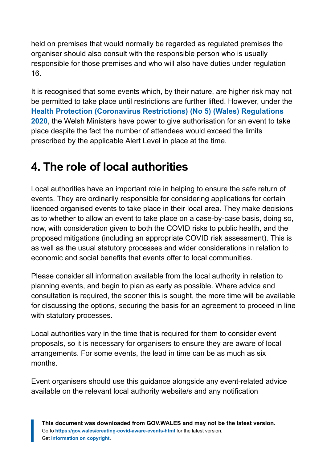held on premises that would normally be regarded as regulated premises the organiser should also consult with the responsible person who is usually responsible for those premises and who will also have duties under regulation 16.

It is recognised that some events which, by their nature, are higher risk may not be permitted to take place until restrictions are further lifted. However, under the **[Health Protection \(Coronavirus Restrictions\) \(No 5\) \(Wales\) Regulations](https://gov.wales/health-protection-coronavirus-restrictions-no-5-wales-regulations-2020-amended) [2020](https://gov.wales/health-protection-coronavirus-restrictions-no-5-wales-regulations-2020-amended)**, the Welsh Ministers have power to give authorisation for an event to take place despite the fact the number of attendees would exceed the limits prescribed by the applicable Alert Level in place at the time.

### <span id="page-11-0"></span>**4. The role of local authorities**

Local authorities have an important role in helping to ensure the safe return of events. They are ordinarily responsible for considering applications for certain licenced organised events to take place in their local area. They make decisions as to whether to allow an event to take place on a case-by-case basis, doing so, now, with consideration given to both the COVID risks to public health, and the proposed mitigations (including an appropriate COVID risk assessment). This is as well as the usual statutory processes and wider considerations in relation to economic and social benefits that events offer to local communities.

Please consider all information available from the local authority in relation to planning events, and begin to plan as early as possible. Where advice and consultation is required, the sooner this is sought, the more time will be available for discussing the options, securing the basis for an agreement to proceed in line with statutory processes.

Local authorities vary in the time that is required for them to consider event proposals, so it is necessary for organisers to ensure they are aware of local arrangements. For some events, the lead in time can be as much as six months.

Event organisers should use this guidance alongside any event-related advice available on the relevant local authority website/s and any notification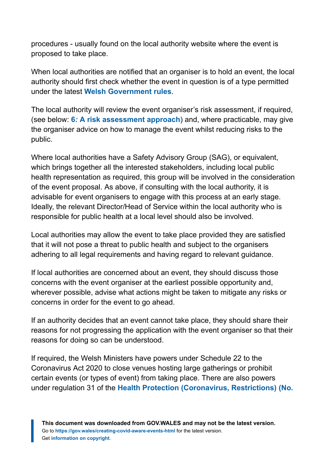procedures - usually found on the local authority website where the event is proposed to take place.

When local authorities are notified that an organiser is to hold an event, the local authority should first check whether the event in question is of a type permitted under the latest **[Welsh Government rules](https://eur01.safelinks.protection.outlook.com/?url=https%3A%2F%2Fgov.wales%2Fcovid-19-alert-levels&data=04%7C01%7CHelen.Butler%40gov.wales%7Ca9d627c8e8624ee5a3b708d9298509ce%7Ca2cc36c592804ae78887d06dab89216b%7C0%7C0%7C637586473629910645%7CUnknown%7CTWFpbGZsb3d8eyJWIjoiMC4wLjAwMDAiLCJQIjoiV2luMzIiLCJBTiI6Ik1haWwiLCJXVCI6Mn0%3D%7C1000&sdata=ivMnV%2Fo2QEZHdlVp10M%2BD5dmz2CvqTjN%2F4wdyj%2BdiuA%3D&reserved=0)**.

The local authority will review the event organiser's risk assessment, if required, (see below: **6***:* **[A risk assessment approach](https://gov.wales/node/39712/latest#section-72112)**) and, where practicable, may give the organiser advice on how to manage the event whilst reducing risks to the public.

Where local authorities have a Safety Advisory Group (SAG), or equivalent, which brings together all the interested stakeholders, including local public health representation as required, this group will be involved in the consideration of the event proposal. As above, if consulting with the local authority, it is advisable for event organisers to engage with this process at an early stage. Ideally, the relevant Director/Head of Service within the local authority who is responsible for public health at a local level should also be involved.

Local authorities may allow the event to take place provided they are satisfied that it will not pose a threat to public health and subject to the organisers adhering to all legal requirements and having regard to relevant guidance.

If local authorities are concerned about an event, they should discuss those concerns with the event organiser at the earliest possible opportunity and, wherever possible, advise what actions might be taken to mitigate any risks or concerns in order for the event to go ahead.

If an authority decides that an event cannot take place, they should share their reasons for not progressing the application with the event organiser so that their reasons for doing so can be understood.

If required, the Welsh Ministers have powers under Schedule 22 to the Coronavirus Act 2020 to close venues hosting large gatherings or prohibit certain events (or types of event) from taking place. There are also powers under regulation 31 of the **[Health Protection \(Coronavirus, Restrictions\) \(No.](https://gov.wales/health-protection-coronavirus-restrictions-no-5-wales-regulations-2020-amended)**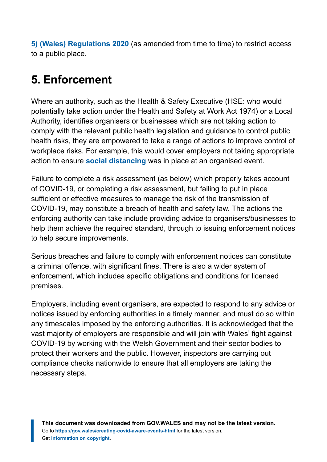**[5\) \(Wales\) Regulations 2020](https://gov.wales/health-protection-coronavirus-restrictions-no-5-wales-regulations-2020-amended)** (as amended from time to time) to restrict access to a public place.

### <span id="page-13-0"></span>**5. Enforcement**

Where an authority, such as the Health & Safety Executive (HSE: who would potentially take action under the Health and Safety at Work Act 1974) or a Local Authority, identifies organisers or businesses which are not taking action to comply with the relevant public health legislation and guidance to control public health risks, they are empowered to take a range of actions to improve control of workplace risks. For example, this would cover employers not taking appropriate action to ensure **[social distancing](https://gov.wales/coronavirus-social-distancing-guidance)** was in place at an organised event.

Failure to complete a risk assessment (as below) which properly takes account of COVID-19, or completing a risk assessment, but failing to put in place sufficient or effective measures to manage the risk of the transmission of COVID-19, may constitute a breach of health and safety law. The actions the enforcing authority can take include providing advice to organisers/businesses to help them achieve the required standard, through to issuing enforcement notices to help secure improvements.

Serious breaches and failure to comply with enforcement notices can constitute a criminal offence, with significant fines. There is also a wider system of enforcement, which includes specific obligations and conditions for licensed premises.

Employers, including event organisers, are expected to respond to any advice or notices issued by enforcing authorities in a timely manner, and must do so within any timescales imposed by the enforcing authorities. It is acknowledged that the vast majority of employers are responsible and will join with Wales' fight against COVID-19 by working with the Welsh Government and their sector bodies to protect their workers and the public. However, inspectors are carrying out compliance checks nationwide to ensure that all employers are taking the necessary steps.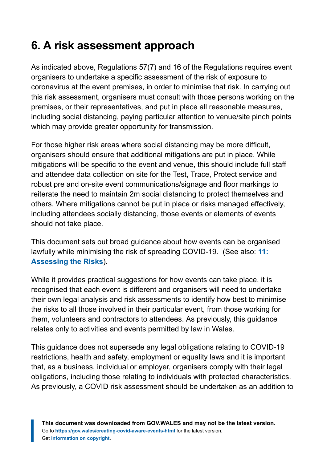## <span id="page-14-0"></span>**6. A risk assessment approach**

As indicated above, Regulations 57(7) and 16 of the Regulations requires event organisers to undertake a specific assessment of the risk of exposure to coronavirus at the event premises, in order to minimise that risk. In carrying out this risk assessment, organisers must consult with those persons working on the premises, or their representatives, and put in place all reasonable measures, including social distancing, paying particular attention to venue/site pinch points which may provide greater opportunity for transmission.

For those higher risk areas where social distancing may be more difficult, organisers should ensure that additional mitigations are put in place. While mitigations will be specific to the event and venue, this should include full staff and attendee data collection on site for the Test, Trace, Protect service and robust pre and on-site event communications/signage and floor markings to reiterate the need to maintain 2m social distancing to protect themselves and others. Where mitigations cannot be put in place or risks managed effectively, including attendees socially distancing, those events or elements of events should not take place.

This document sets out broad guidance about how events can be organised lawfully while minimising the risk of spreading COVID-19. (See also: **[11:](https://gov.wales/keep-wales-safe-creating-covid-aware-events-html#section-72122) [Assessing the Risks](https://gov.wales/keep-wales-safe-creating-covid-aware-events-html#section-72122)**).

While it provides practical suggestions for how events can take place, it is recognised that each event is different and organisers will need to undertake their own legal analysis and risk assessments to identify how best to minimise the risks to all those involved in their particular event, from those working for them, volunteers and contractors to attendees. As previously, this guidance relates only to activities and events permitted by law in Wales.

This guidance does not supersede any legal obligations relating to COVID-19 restrictions, health and safety, employment or equality laws and it is important that, as a business, individual or employer, organisers comply with their legal obligations, including those relating to individuals with protected characteristics. As previously, a COVID risk assessment should be undertaken as an addition to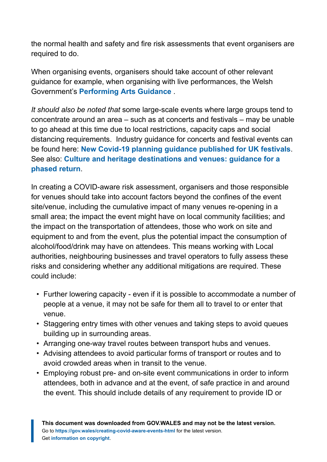the normal health and safety and fire risk assessments that event organisers are required to do.

When organising events, organisers should take account of other relevant guidance for example, when organising with live performances, the Welsh Government's **[Performing Arts Guidance](https://gov.wales/rehearsing-performing-and-taking-part-performing-arts-guidance-phased-return-html)** *.*

*It should also be noted that* some large-scale events where large groups tend to concentrate around an area – such as at concerts and festivals – may be unable to go ahead at this time due to local restrictions, capacity caps and social distancing requirements. Industry guidance for concerts and festival events can be found here: **[New Covid-19 planning guidance published for UK festivals](https://www.thepurpleguide.co.uk/index.php/the-purple-guide/information-news-updates/121-new-covid-19-planning-guidance-published-for-uk-festivals)**. See also: **[Culture and heritage destinations and venues: guidance for a](https://gov.wales/culture-and-heritage-destinations-and-venues-guidance-phased-return) [phased return](https://gov.wales/culture-and-heritage-destinations-and-venues-guidance-phased-return)**.

In creating a COVID-aware risk assessment, organisers and those responsible for venues should take into account factors beyond the confines of the event site/venue, including the cumulative impact of many venues re-opening in a small area; the impact the event might have on local community facilities; and the impact on the transportation of attendees, those who work on site and equipment to and from the event, plus the potential impact the consumption of alcohol/food/drink may have on attendees. This means working with Local authorities, neighbouring businesses and travel operators to fully assess these risks and considering whether any additional mitigations are required. These could include:

- Further lowering capacity even if it is possible to accommodate a number of people at a venue, it may not be safe for them all to travel to or enter that venue.
- Staggering entry times with other venues and taking steps to avoid queues building up in surrounding areas.
- Arranging one-way travel routes between transport hubs and venues.
- Advising attendees to avoid particular forms of transport or routes and to avoid crowded areas when in transit to the venue.
- Employing robust pre- and on-site event communications in order to inform attendees, both in advance and at the event, of safe practice in and around the event. This should include details of any requirement to provide ID or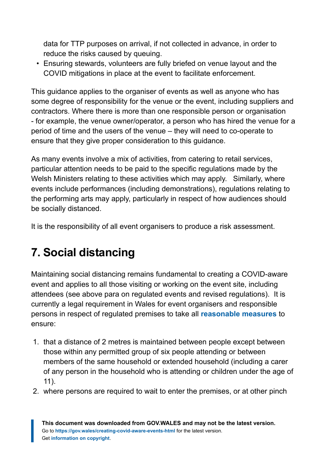data for TTP purposes on arrival, if not collected in advance, in order to reduce the risks caused by queuing.

• Ensuring stewards, volunteers are fully briefed on venue layout and the COVID mitigations in place at the event to facilitate enforcement.

This guidance applies to the organiser of events as well as anyone who has some degree of responsibility for the venue or the event, including suppliers and contractors. Where there is more than one responsible person or organisation - for example, the venue owner/operator, a person who has hired the venue for a period of time and the users of the venue – they will need to co-operate to ensure that they give proper consideration to this guidance.

As many events involve a mix of activities, from catering to retail services, particular attention needs to be paid to the specific regulations made by the Welsh Ministers relating to these activities which may apply. Similarly, where events include performances (including demonstrations), regulations relating to the performing arts may apply, particularly in respect of how audiences should be socially distanced.

It is the responsibility of all event organisers to produce a risk assessment.

### <span id="page-16-0"></span>**7. Social distancing**

Maintaining social distancing remains fundamental to creating a COVID-aware event and applies to all those visiting or working on the event site, including attendees (see above para on regulated events and revised regulations). It is currently a legal requirement in Wales for event organisers and responsible persons in respect of regulated premises to take all **[reasonable measures](https://gov.wales/taking-all-reasonable-measures-minimise-risk-exposure-coronavirus-workplaces-and-premises-open)** to ensure:

- 1. that a distance of 2 metres is maintained between people except between those within any permitted group of six people attending or between members of the same household or extended household (including a carer of any person in the household who is attending or children under the age of 11).
- 2. where persons are required to wait to enter the premises, or at other pinch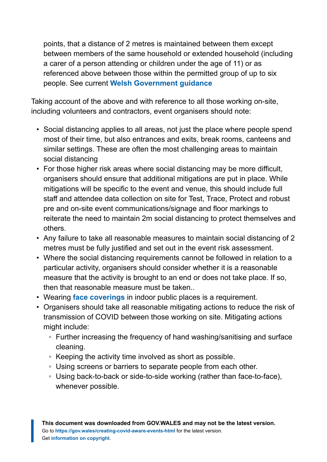points, that a distance of 2 metres is maintained between them except between members of the same household or extended household (including a carer of a person attending or children under the age of 11) or as referenced above between those within the permitted group of up to six people. See current **[Welsh Government guidance](https://gov.wales/taking-all-reasonable-measures-minimise-risk-exposure-coronavirus-workplaces-and-premises-open)**

Taking account of the above and with reference to all those working on-site, including volunteers and contractors, event organisers should note:

- Social distancing applies to all areas, not just the place where people spend most of their time, but also entrances and exits, break rooms, canteens and similar settings. These are often the most challenging areas to maintain social distancing
- For those higher risk areas where social distancing may be more difficult, organisers should ensure that additional mitigations are put in place. While mitigations will be specific to the event and venue, this should include full staff and attendee data collection on site for Test, Trace, Protect and robust pre and on-site event communications/signage and floor markings to reiterate the need to maintain 2m social distancing to protect themselves and others.
- Any failure to take all reasonable measures to maintain social distancing of 2 metres must be fully justified and set out in the event risk assessment.
- Where the social distancing requirements cannot be followed in relation to a particular activity, organisers should consider whether it is a reasonable measure that the activity is brought to an end or does not take place. If so, then that reasonable measure must be taken..
- Wearing **[face coverings](https://gov.wales/face-coverings-guidance-measures-be-taken-employers-and-managers-premises)** in indoor public places is a requirement.
- Organisers should take all reasonable mitigating actions to reduce the risk of transmission of COVID between those working on site. Mitigating actions might include:
	- Further increasing the frequency of hand washing/sanitising and surface cleaning.
	- Keeping the activity time involved as short as possible.
	- Using screens or barriers to separate people from each other.
	- Using back-to-back or side-to-side working (rather than face-to-face), whenever possible.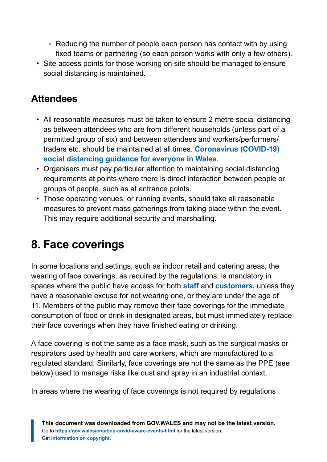- Reducing the number of people each person has contact with by using fixed teams or partnering (so each person works with only a few others).
- Site access points for those working on site should be managed to ensure social distancing is maintained.

#### **Attendees**

- All reasonable measures must be taken to ensure 2 metre social distancing as between attendees who are from different households (unless part of a permitted group of six) and between attendees and workers/performers/ traders etc. should be maintained at all times. **[Coronavirus \(COVID-19\)](https://gov.wales/coronavirus-social-distancing-guidance) [social distancing guidance for everyone in Wales](https://gov.wales/coronavirus-social-distancing-guidance)**.
- Organisers must pay particular attention to maintaining social distancing requirements at points where there is direct interaction between people or groups of people, such as at entrance points.
- Those operating venues, or running events, should take all reasonable measures to prevent mass gatherings from taking place within the event. This may require additional security and marshalling.

### <span id="page-18-0"></span>**8. Face coverings**

In some locations and settings, such as indoor retail and catering areas, the wearing of face coverings, as required by the regulations, is mandatory in spaces where the public have access for both **[staff](https://gov.wales/face-coverings-guidance-measures-be-taken-employers-and-managers-premises)** and **[customers,](https://gov.wales/face-coverings-guidance-public#section-52202)** unless they have a reasonable excuse for not wearing one, or they are under the age of 11. Members of the public may remove their face coverings for the immediate consumption of food or drink in designated areas, but must immediately replace their face coverings when they have finished eating or drinking.

A face covering is not the same as a face mask, such as the surgical masks or respirators used by health and care workers, which are manufactured to a regulated standard. Similarly, face coverings are not the same as the PPE (see below) used to manage risks like dust and spray in an industrial context.

In areas where the wearing of face coverings is not required by regulations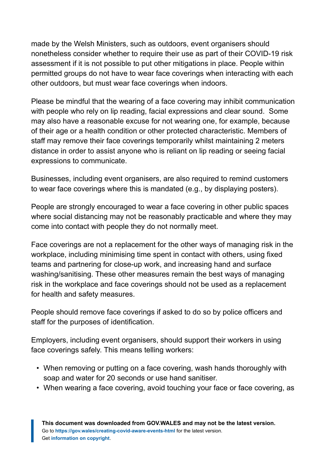made by the Welsh Ministers, such as outdoors, event organisers should nonetheless consider whether to require their use as part of their COVID-19 risk assessment if it is not possible to put other mitigations in place. People within permitted groups do not have to wear face coverings when interacting with each other outdoors, but must wear face coverings when indoors.

Please be mindful that the wearing of a face covering may inhibit communication with people who rely on lip reading, facial expressions and clear sound. Some may also have a reasonable excuse for not wearing one, for example, because of their age or a health condition or other protected characteristic. Members of staff may remove their face coverings temporarily whilst maintaining 2 meters distance in order to assist anyone who is reliant on lip reading or seeing facial expressions to communicate.

Businesses, including event organisers, are also required to remind customers to wear face coverings where this is mandated (e.g., by displaying posters).

People are strongly encouraged to wear a face covering in other public spaces where social distancing may not be reasonably practicable and where they may come into contact with people they do not normally meet.

Face coverings are not a replacement for the other ways of managing risk in the workplace, including minimising time spent in contact with others, using fixed teams and partnering for close-up work, and increasing hand and surface washing/sanitising. These other measures remain the best ways of managing risk in the workplace and face coverings should not be used as a replacement for health and safety measures.

People should remove face coverings if asked to do so by police officers and staff for the purposes of identification.

Employers, including event organisers, should support their workers in using face coverings safely. This means telling workers:

- When removing or putting on a face covering, wash hands thoroughly with soap and water for 20 seconds or use hand sanitiser.
- When wearing a face covering, avoid touching your face or face covering, as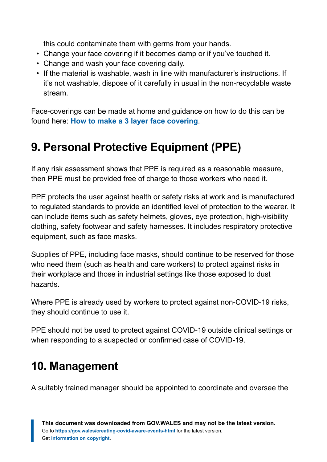this could contaminate them with germs from your hands.

- Change your face covering if it becomes damp or if you've touched it.
- Change and wash your face covering daily.
- If the material is washable, wash in line with manufacturer's instructions. If it's not washable, dispose of it carefully in usual in the non-recyclable waste stream.

Face-coverings can be made at home and guidance on how to do this can be found here: **[How to make a 3 layer face covering](https://gov.wales/how-make-3-layer-face-covering)**.

### <span id="page-20-0"></span>**9. Personal Protective Equipment (PPE)**

If any risk assessment shows that PPE is required as a reasonable measure, then PPE must be provided free of charge to those workers who need it.

PPE protects the user against health or safety risks at work and is manufactured to regulated standards to provide an identified level of protection to the wearer. It can include items such as safety helmets, gloves, eye protection, high-visibility clothing, safety footwear and safety harnesses. It includes respiratory protective equipment, such as face masks.

Supplies of PPE, including face masks, should continue to be reserved for those who need them (such as health and care workers) to protect against risks in their workplace and those in industrial settings like those exposed to dust hazards.

Where PPE is already used by workers to protect against non-COVID-19 risks, they should continue to use it.

PPE should not be used to protect against COVID-19 outside clinical settings or when responding to a suspected or confirmed case of COVID-19.

### <span id="page-20-1"></span>**10. Management**

A suitably trained manager should be appointed to coordinate and oversee the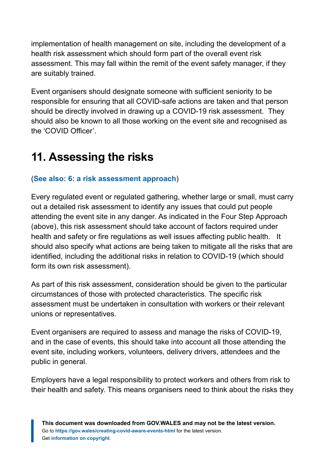implementation of health management on site, including the development of a health risk assessment which should form part of the overall event risk assessment. This may fall within the remit of the event safety manager, if they are suitably trained.

Event organisers should designate someone with sufficient seniority to be responsible for ensuring that all COVID-safe actions are taken and that person should be directly involved in drawing up a COVID-19 risk assessment. They should also be known to all those working on the event site and recognised as the 'COVID Officer'.

### <span id="page-21-0"></span>**11. Assessing the risks**

#### (**[See also: 6: a risk assessment approach](https://gov.wales/keep-wales-safe-creating-covid-safe-events-html#section-72112)**)

Every regulated event or regulated gathering, whether large or small, must carry out a detailed risk assessment to identify any issues that could put people attending the event site in any danger. As indicated in the Four Step Approach (above), this risk assessment should take account of factors required under health and safety or fire regulations as well issues affecting public health. It should also specify what actions are being taken to mitigate all the risks that are identified, including the additional risks in relation to COVID-19 (which should form its own risk assessment).

As part of this risk assessment, consideration should be given to the particular circumstances of those with protected characteristics. The specific risk assessment must be undertaken in consultation with workers or their relevant unions or representatives.

Event organisers are required to assess and manage the risks of COVID-19, and in the case of events, this should take into account all those attending the event site, including workers, volunteers, delivery drivers, attendees and the public in general.

Employers have a legal responsibility to protect workers and others from risk to their health and safety. This means organisers need to think about the risks they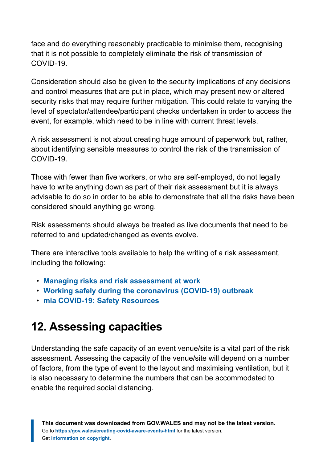face and do everything reasonably practicable to minimise them, recognising that it is not possible to completely eliminate the risk of transmission of COVID-19.

Consideration should also be given to the security implications of any decisions and control measures that are put in place, which may present new or altered security risks that may require further mitigation. This could relate to varying the level of spectator/attendee/participant checks undertaken in order to access the event, for example, which need to be in line with current threat levels.

A risk assessment is not about creating huge amount of paperwork but, rather, about identifying sensible measures to control the risk of the transmission of COVID-19.

Those with fewer than five workers, or who are self-employed, do not legally have to write anything down as part of their risk assessment but it is always advisable to do so in order to be able to demonstrate that all the risks have been considered should anything go wrong.

Risk assessments should always be treated as live documents that need to be referred to and updated/changed as events evolve.

There are interactive tools available to help the writing of a risk assessment, including the following:

- **[Managing risks and risk assessment at work](https://gov.wales/offices-and-contact-centres-coronavirus-workplace-guidance-html)**
- **[Working safely during the coronavirus \(COVID-19\) outbreak](https://gov.wales/keep-wales-safe-work-html)**
- **mia [COVID-19: Safety Resources](https://www.mia-uk.org/Safety-Resources)**

# <span id="page-22-0"></span>**12. Assessing capacities**

Understanding the safe capacity of an event venue/site is a vital part of the risk assessment. Assessing the capacity of the venue/site will depend on a number of factors, from the type of event to the layout and maximising ventilation, but it is also necessary to determine the numbers that can be accommodated to enable the required social distancing.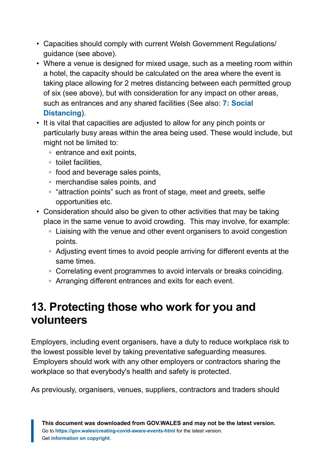- Capacities should comply with current Welsh Government Regulations/ guidance (see above).
- Where a venue is designed for mixed usage, such as a meeting room within a hotel, the capacity should be calculated on the area where the event is taking place allowing for 2 metres distancing between each permitted group of six (see above), but with consideration for any impact on other areas, such as entrances and any shared facilities (See also: **[7: Social](https://gov.wales/keep-wales-safe-creating-covid-aware-events-html#section-72114) [Distancing](https://gov.wales/keep-wales-safe-creating-covid-aware-events-html#section-72114)**).
- It is vital that capacities are adjusted to allow for any pinch points or particularly busy areas within the area being used. These would include, but might not be limited to:
	- entrance and exit points,
	- toilet facilities,
	- food and beverage sales points,
	- merchandise sales points, and
	- "attraction points" such as front of stage, meet and greets, selfie opportunities etc.
- Consideration should also be given to other activities that may be taking place in the same venue to avoid crowding. This may involve, for example:
	- Liaising with the venue and other event organisers to avoid congestion points.
	- Adjusting event times to avoid people arriving for different events at the same times.
	- Correlating event programmes to avoid intervals or breaks coinciding.
	- Arranging different entrances and exits for each event.

### <span id="page-23-0"></span>**13. Protecting those who work for you and volunteers**

Employers, including event organisers, have a duty to reduce workplace risk to the lowest possible level by taking preventative safeguarding measures. Employers should work with any other employers or contractors sharing the workplace so that everybody's health and safety is protected.

As previously, organisers, venues, suppliers, contractors and traders should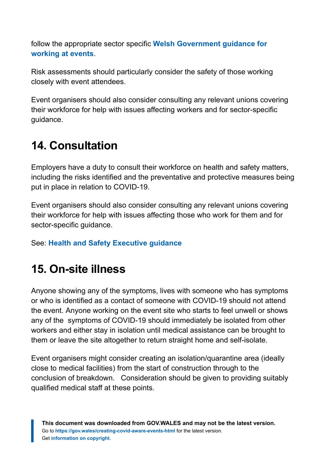follow the appropriate sector specific **[Welsh Government guidance for](https://gov.wales/business-and-employers-coronavirus) [working at events](https://gov.wales/business-and-employers-coronavirus)**.

Risk assessments should particularly consider the safety of those working closely with event attendees.

Event organisers should also consider consulting any relevant unions covering their workforce for help with issues affecting workers and for sector-specific guidance.

### <span id="page-24-0"></span>**14. Consultation**

Employers have a duty to consult their workforce on health and safety matters, including the risks identified and the preventative and protective measures being put in place in relation to COVID-19.

Event organisers should also consider consulting any relevant unions covering their workforce for help with issues affecting those who work for them and for sector-specific guidance.

See: **Health and [Safety Executive guidance](https://www.hse.gov.uk/involvement/)**

## <span id="page-24-1"></span>**15. On-site illness**

Anyone showing any of the symptoms, lives with someone who has symptoms or who is identified as a contact of someone with COVID-19 should not attend the event. Anyone working on the event site who starts to feel unwell or shows any of the symptoms of COVID-19 should immediately be isolated from other workers and either stay in isolation until medical assistance can be brought to them or leave the site altogether to return straight home and self-isolate.

Event organisers might consider creating an isolation/quarantine area (ideally close to medical facilities) from the start of construction through to the conclusion of breakdown. Consideration should be given to providing suitably qualified medical staff at these points.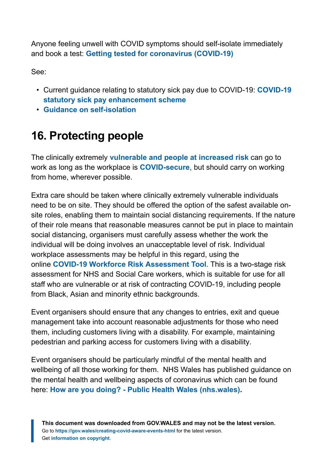Anyone feeling unwell with COVID symptoms should self-isolate immediately and book a test: **[Getting tested for coronavirus \(COVID-19\)](https://gov.wales/getting-tested-coronavirus-covid-19)**

See:

- Current guidance relating to statutory sick pay due to COVID-19: **[COVID-19](https://gov.wales/covid-19-statutory-sick-pay-enhancement-scheme) [statutory sick pay enhancement scheme](https://gov.wales/covid-19-statutory-sick-pay-enhancement-scheme)**
- **[Guidance on self-isolation](https://gov.wales/self-isolation)**

# <span id="page-25-0"></span>**16. Protecting people**

The clinically extremely **[vulnerable and people at increased risk](https://gov.wales/people-increased-risk-coronavirus)** can go to work as long as the workplace is **[COVID-secure](https://gov.wales/keep-wales-safe-work-html)**, but should carry on working from home, wherever possible.

Extra care should be taken where clinically extremely vulnerable individuals need to be on site. They should be offered the option of the safest available onsite roles, enabling them to maintain social distancing requirements. If the nature of their role means that reasonable measures cannot be put in place to maintain social distancing, organisers must carefully assess whether the work the individual will be doing involves an unacceptable level of risk. Individual workplace assessments may be helpful in this regard, using the online **[COVID-19 Workforce Risk Assessment Tool](https://gov.wales/covid-19-workforce-risk-assessment-tool)**. This is a two-stage risk assessment for NHS and Social Care workers, which is suitable for use for all staff who are vulnerable or at risk of contracting COVID-19, including people from Black, Asian and minority ethnic backgrounds.

Event organisers should ensure that any changes to entries, exit and queue management take into account reasonable adjustments for those who need them, including customers living with a disability. For example, maintaining pedestrian and parking access for customers living with a disability*.*

Event organisers should be particularly mindful of the mental health and wellbeing of all those working for them. NHS Wales has published guidance on the mental health and wellbeing aspects of coronavirus which can be found here: **[How are you doing? - Public Health Wales \(nhs.wales\)](https://phw.nhs.wales/topics/latest-information-on-novel-coronavirus-covid-19/how-are-you-doing/).**

**This document was downloaded from GOV.WALES and may not be the latest version.** Go to **<https://gov.wales/creating-covid-aware-events-html>** for the latest version. Get **[information on copyright](https://gov.wales/copyright-statement)**.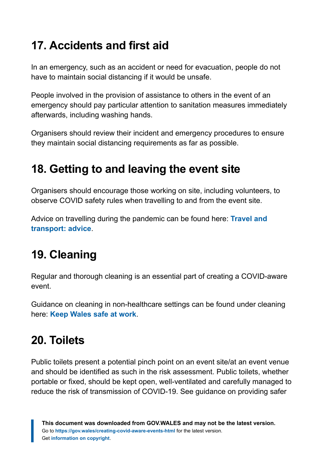# <span id="page-26-0"></span>**17. Accidents and first aid**

In an emergency, such as an accident or need for evacuation, people do not have to maintain social distancing if it would be unsafe.

People involved in the provision of assistance to others in the event of an emergency should pay particular attention to sanitation measures immediately afterwards, including washing hands.

Organisers should review their incident and emergency procedures to ensure they maintain social distancing requirements as far as possible.

### <span id="page-26-1"></span>**18. Getting to and leaving the event site**

Organisers should encourage those working on site, including volunteers, to observe COVID safety rules when travelling to and from the event site.

Advice on travelling during the pandemic can be found here: **[Travel and](https://gov.wales/travel-and-transport-advice) [transport: advice](https://gov.wales/travel-and-transport-advice)**.

## <span id="page-26-2"></span>**19. Cleaning**

Regular and thorough cleaning is an essential part of creating a COVID-aware event.

Guidance on cleaning in non-healthcare settings can be found under cleaning here: **[Keep Wales safe at work](https://gov.wales/keep-wales-safe-work-html)**.

### <span id="page-26-3"></span>**20. Toilets**

Public toilets present a potential pinch point on an event site/at an event venue and should be identified as such in the risk assessment. Public toilets, whether portable or fixed, should be kept open, well-ventilated and carefully managed to reduce the risk of transmission of COVID-19. See guidance on providing safer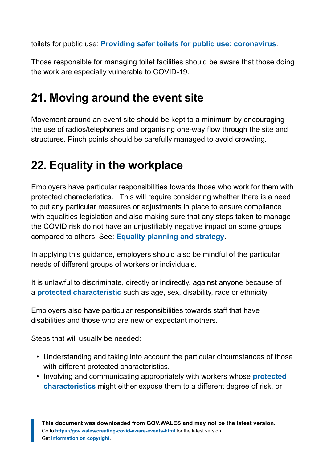toilets for public use: **[Providing safer toilets for public use: coronavirus](https://gov.wales/providing-safer-toilets-public-use-coronavirus-html)**.

Those responsible for managing toilet facilities should be aware that those doing the work are especially vulnerable to COVID-19.

### <span id="page-27-0"></span>**21. Moving around the event site**

Movement around an event site should be kept to a minimum by encouraging the use of radios/telephones and organising one-way flow through the site and structures. Pinch points should be carefully managed to avoid crowding.

### <span id="page-27-1"></span>**22. Equality in the workplace**

Employers have particular responsibilities towards those who work for them with protected characteristics. This will require considering whether there is a need to put any particular measures or adjustments in place to ensure compliance with equalities legislation and also making sure that any steps taken to manage the COVID risk do not have an unjustifiably negative impact on some groups compared to others. See: **[Equality planning and strategy](https://gov.wales/equality-planning-strategy)**.

In applying this guidance, employers should also be mindful of the particular needs of different groups of workers or individuals.

It is unlawful to discriminate, directly or indirectly, against anyone because of a **[protected characteristic](https://eur01.safelinks.protection.outlook.com/?url=https%3A%2F%2Fwww.equalityhumanrights.com%2Fen%2Fequality-act%2Fprotected-characteristics&data=04%7C01%7CHelen.Butler%40gov.wales%7Ca19f73a290254a09b66d08d92a51449b%7Ca2cc36c592804ae78887d06dab89216b%7C0%7C0%7C637587350791665031%7CUnknown%7CTWFpbGZsb3d8eyJWIjoiMC4wLjAwMDAiLCJQIjoiV2luMzIiLCJBTiI6Ik1haWwiLCJXVCI6Mn0%3D%7C1000&sdata=A%2FqM1iUv1q3E9wYg0bZi8GJQNw5OTCdRATBbBgqhG4w%3D&reserved=0)** such as age, sex, disability, race or ethnicity.

Employers also have particular responsibilities towards staff that have disabilities and those who are new or expectant mothers.

Steps that will usually be needed:

- Understanding and taking into account the particular circumstances of those with different protected characteristics.
- Involving and communicating appropriately with workers whose **[protected](https://eur01.safelinks.protection.outlook.com/?url=https%3A%2F%2Fwww.equalityhumanrights.com%2Fen%2Fequality-act%2Fprotected-characteristics&data=04%7C01%7CHelen.Butler%40gov.wales%7Ca19f73a290254a09b66d08d92a51449b%7Ca2cc36c592804ae78887d06dab89216b%7C0%7C0%7C637587350791674983%7CUnknown%7CTWFpbGZsb3d8eyJWIjoiMC4wLjAwMDAiLCJQIjoiV2luMzIiLCJBTiI6Ik1haWwiLCJXVCI6Mn0%3D%7C1000&sdata=JSrZnjA9nqbWOkPlVR6ypTo9CD1Af7Yr41RPMo0%2Fl%2FM%3D&reserved=0) [characteristics](https://eur01.safelinks.protection.outlook.com/?url=https%3A%2F%2Fwww.equalityhumanrights.com%2Fen%2Fequality-act%2Fprotected-characteristics&data=04%7C01%7CHelen.Butler%40gov.wales%7Ca19f73a290254a09b66d08d92a51449b%7Ca2cc36c592804ae78887d06dab89216b%7C0%7C0%7C637587350791674983%7CUnknown%7CTWFpbGZsb3d8eyJWIjoiMC4wLjAwMDAiLCJQIjoiV2luMzIiLCJBTiI6Ik1haWwiLCJXVCI6Mn0%3D%7C1000&sdata=JSrZnjA9nqbWOkPlVR6ypTo9CD1Af7Yr41RPMo0%2Fl%2FM%3D&reserved=0)** might either expose them to a different degree of risk, or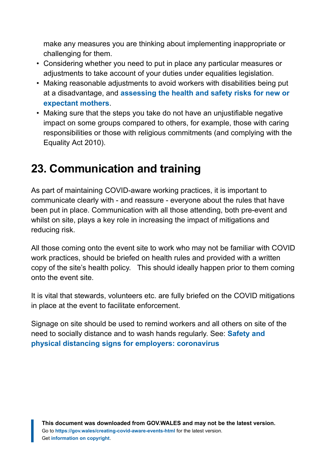make any measures you are thinking about implementing inappropriate or challenging for them.

- Considering whether you need to put in place any particular measures or adjustments to take account of your duties under equalities legislation.
- Making reasonable adjustments to avoid workers with disabilities being put at a disadvantage, and **[assessing the health and safety risks for new or](https://eur01.safelinks.protection.outlook.com/?url=https%3A%2F%2Fwww.rcog.org.uk%2Fglobalassets%2Fdocuments%2Fguidelines%2F2020-09-10-occupational-health-statement-rcog-rcm-fom.pdf&data=04%7C01%7CHelen.Butler%40gov.wales%7Ca19f73a290254a09b66d08d92a51449b%7Ca2cc36c592804ae78887d06dab89216b%7C0%7C0%7C637587350791674983%7CUnknown%7CTWFpbGZsb3d8eyJWIjoiMC4wLjAwMDAiLCJQIjoiV2luMzIiLCJBTiI6Ik1haWwiLCJXVCI6Mn0%3D%7C1000&sdata=MB3olJ9%2BVt3nm4lR2HNk8SF4qIgp%2FOEu9C1DtVmjETE%3D&reserved=0) [expectant mothers](https://eur01.safelinks.protection.outlook.com/?url=https%3A%2F%2Fwww.rcog.org.uk%2Fglobalassets%2Fdocuments%2Fguidelines%2F2020-09-10-occupational-health-statement-rcog-rcm-fom.pdf&data=04%7C01%7CHelen.Butler%40gov.wales%7Ca19f73a290254a09b66d08d92a51449b%7Ca2cc36c592804ae78887d06dab89216b%7C0%7C0%7C637587350791674983%7CUnknown%7CTWFpbGZsb3d8eyJWIjoiMC4wLjAwMDAiLCJQIjoiV2luMzIiLCJBTiI6Ik1haWwiLCJXVCI6Mn0%3D%7C1000&sdata=MB3olJ9%2BVt3nm4lR2HNk8SF4qIgp%2FOEu9C1DtVmjETE%3D&reserved=0)**.
- Making sure that the steps you take do not have an unjustifiable negative impact on some groups compared to others, for example, those with caring responsibilities or those with religious commitments (and complying with the Equality Act 2010).

### <span id="page-28-0"></span>**23. Communication and training**

As part of maintaining COVID-aware working practices, it is important to communicate clearly with - and reassure - everyone about the rules that have been put in place. Communication with all those attending, both pre-event and whilst on site, plays a key role in increasing the impact of mitigations and reducing risk.

All those coming onto the event site to work who may not be familiar with COVID work practices, should be briefed on health rules and provided with a written copy of the site's health policy. This should ideally happen prior to them coming onto the event site.

It is vital that stewards, volunteers etc. are fully briefed on the COVID mitigations in place at the event to facilitate enforcement.

Signage on site should be used to remind workers and all others on site of the need to socially distance and to wash hands regularly. See: **[Safety and](https://gov.wales/safety-and-physical-distancing-signs-employers-coronavirus) [physical distancing signs for employers: coronavirus](https://gov.wales/safety-and-physical-distancing-signs-employers-coronavirus)**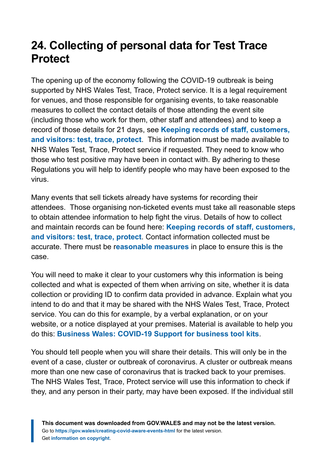### <span id="page-29-0"></span>**24. Collecting of personal data for Test Trace Protect**

The opening up of the economy following the COVID-19 outbreak is being supported by NHS Wales Test, Trace, Protect service. It is a legal requirement for venues, and those responsible for organising events, to take reasonable measures to collect the contact details of those attending the event site (including those who work for them, other staff and attendees) and to keep a record of those details for 21 days, see **[Keeping records of staff, customers,](https://gov.wales/keeping-records-staff-customers-and-visitors-test-trace-protect) [and visitors: test, trace, protect](https://gov.wales/keeping-records-staff-customers-and-visitors-test-trace-protect)**. This information must be made available to NHS Wales Test, Trace, Protect service if requested. They need to know who those who test positive may have been in contact with. By adhering to these Regulations you will help to identify people who may have been exposed to the virus.

Many events that sell tickets already have systems for recording their attendees. Those organising non-ticketed events must take all reasonable steps to obtain attendee information to help fight the virus. Details of how to collect and maintain records can be found here: **[Keeping records of staff, customers,](https://gov.wales/keeping-records-staff-customers-and-visitors-test-trace-protect) [and visitors: test, trace, protect](https://gov.wales/keeping-records-staff-customers-and-visitors-test-trace-protect)**. Contact information collected must be accurate. There must be r**[easonable measures](https://eur01.safelinks.protection.outlook.com/?url=https%3A%2F%2Fgov.wales%2Ftaking-all-reasonable-measures-minimise-risk-exposure-coronavirus-workplaces-and-premises-open&data=04%7C01%7CHelen.Butler%40gov.wales%7Cd1e57ccfcf034bb5997208d9151e56a8%7Ca2cc36c592804ae78887d06dab89216b%7C0%7C0%7C637564042303233709%7CUnknown%7CTWFpbGZsb3d8eyJWIjoiMC4wLjAwMDAiLCJQIjoiV2luMzIiLCJBTiI6Ik1haWwiLCJXVCI6Mn0%3D%7C1000&sdata=aVBgimOViTE83fGHM5j7y4XTABgNuwMcl8wAKuLzlR4%3D&reserved=0)** in place to ensure this is the case.

You will need to make it clear to your customers why this information is being collected and what is expected of them when arriving on site, whether it is data collection or providing ID to confirm data provided in advance. Explain what you intend to do and that it may be shared with the NHS Wales Test, Trace, Protect service. You can do this for example, by a verbal explanation, or on your website, or a notice displayed at your premises. Material is available to help you do this: **[Business Wales: COVID-19 Support for business tool kits](https://businesswales.gov.wales/coronavirus-advice/tool-kit)**.

You should tell people when you will share their details. This will only be in the event of a case, cluster or outbreak of coronavirus. A cluster or outbreak means more than one new case of coronavirus that is tracked back to your premises. The NHS Wales Test, Trace, Protect service will use this information to check if they, and any person in their party, may have been exposed. If the individual still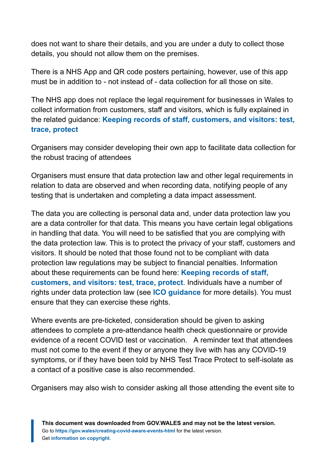does not want to share their details, and you are under a duty to collect those details, you should not allow them on the premises.

There is a NHS App and QR code posters pertaining, however, use of this app must be in addition to - not instead of - data collection for all those on site.

The NHS app does not replace the legal requirement for businesses in Wales to collect information from customers, staff and visitors, which is fully explained in the related guidance: **[Keeping records of staff, customers, and visitors: test,](https://gov.wales/keeping-records-staff-customers-and-visitors-test-trace-protect) [trace, protect](https://gov.wales/keeping-records-staff-customers-and-visitors-test-trace-protect)**

Organisers may consider developing their own app to facilitate data collection for the robust tracing of attendees

Organisers must ensure that data protection law and other legal requirements in relation to data are observed and when recording data, notifying people of any testing that is undertaken and completing a data impact assessment.

The data you are collecting is personal data and, under data protection law you are a data controller for that data. This means you have certain legal obligations in handling that data. You will need to be satisfied that you are complying with the data protection law. This is to protect the privacy of your staff, customers and visitors. It should be noted that those found not to be compliant with data protection law regulations may be subject to financial penalties. Information about these requirements can be found here: **[Keeping records of staff,](https://gov.wales/keeping-records-staff-customers-and-visitors-test-trace-protect) [customers, and visitors: test, trace, protect](https://gov.wales/keeping-records-staff-customers-and-visitors-test-trace-protect)**. Individuals have a number of rights under data protection law (see **[ICO guidance](https://eur01.safelinks.protection.outlook.com/?url=https%3A%2F%2Fico.org.uk%2Ffor-organisations%2Fguide-to-data-protection%2Fguide-to-the-general-data-protection-regulation-gdpr%2Findividual-rights%2Fright-to-be-informed%2F&data=04%7C01%7CHelen.Butler%40gov.wales%7Cd1e57ccfcf034bb5997208d9151e56a8%7Ca2cc36c592804ae78887d06dab89216b%7C0%7C0%7C637564042303273532%7CUnknown%7CTWFpbGZsb3d8eyJWIjoiMC4wLjAwMDAiLCJQIjoiV2luMzIiLCJBTiI6Ik1haWwiLCJXVCI6Mn0%3D%7C1000&sdata=9fSHQsiYZ6AALwqjH7bYl831%2BJ1RDbRsERcS2NDzm9A%3D&reserved=0)** for more details). You must ensure that they can exercise these rights.

Where events are pre-ticketed, consideration should be given to asking attendees to complete a pre-attendance health check questionnaire or provide evidence of a recent COVID test or vaccination. A reminder text that attendees must not come to the event if they or anyone they live with has any COVID-19 symptoms, or if they have been told by NHS Test Trace Protect to self-isolate as a contact of a positive case is also recommended.

Organisers may also wish to consider asking all those attending the event site to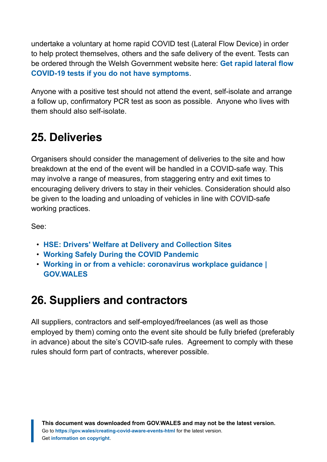undertake a voluntary at home rapid COVID test (Lateral Flow Device) in order to help protect themselves, others and the safe delivery of the event. Tests can be ordered through the Welsh Government website here: **[Get rapid lateral flow](https://gov.wales/get-rapid-lateral-flow-covid-19-tests-if-you-do-not-have-symptoms) [COVID-19 tests if you do not have symptoms](https://gov.wales/get-rapid-lateral-flow-covid-19-tests-if-you-do-not-have-symptoms)**.

Anyone with a positive test should not attend the event, self-isolate and arrange a follow up, confirmatory PCR test as soon as possible. Anyone who lives with them should also self-isolate.

### <span id="page-31-0"></span>**25. Deliveries**

Organisers should consider the management of deliveries to the site and how breakdown at the end of the event will be handled in a COVID-safe way. This may involve a range of measures, from staggering entry and exit times to encouraging delivery drivers to stay in their vehicles. Consideration should also be given to the loading and unloading of vehicles in line with COVID-safe working practices.

See:

- **HSE: [Drivers' Welfare at Delivery and](https://www.hse.gov.uk/coronavirus/drivers-transport-delivery.htm) Collection Sites**
- **[Working Safely During the COVID Pandemic](https://gov.wales/keep-wales-safe-work-html)**
- **[Working in or from a vehicle: coronavirus workplace guidance |](https://gov.wales/working-or-vehicle-coronavirus-workplace-guidance) [GOV.WALES](https://gov.wales/working-or-vehicle-coronavirus-workplace-guidance)**

### <span id="page-31-1"></span>**26. Suppliers and contractors**

All suppliers, contractors and self-employed/freelances (as well as those employed by them) coming onto the event site should be fully briefed (preferably in advance) about the site's COVID-safe rules. Agreement to comply with these rules should form part of contracts, wherever possible.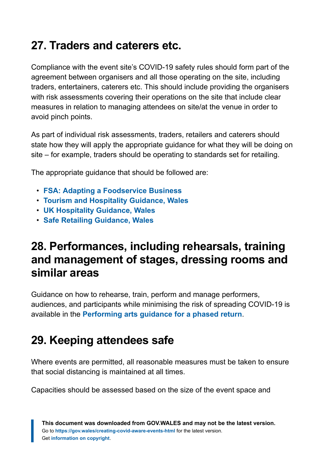### <span id="page-32-0"></span>**27. Traders and caterers etc.**

Compliance with the event site's COVID-19 safety rules should form part of the agreement between organisers and all those operating on the site, including traders, entertainers, caterers etc. This should include providing the organisers with risk assessments covering their operations on the site that include clear measures in relation to managing attendees on site/at the venue in order to avoid pinch points.

As part of individual risk assessments, traders, retailers and caterers should state how they will apply the appropriate guidance for what they will be doing on site – for example, traders should be operating to standards set for retailing.

The appropriate guidance that should be followed are:

- **FSA: [Adapting a Foodservice Business](https://www.food.gov.uk/business-guidance/reopening-and-adapting-your-food-business-during-covid-19)**
- **[Tourism and Hospitality Guidance, Wales](https://gov.wales/guidance-for-tourism-and-hospitality-businesses-coronavirus-html)**
- **[UK Hospitality Guidance, Wales](https://www.ukhospitality.org.uk/page/WalesGuidance)**
- **[Safe Retailing Guidance, Wales](https://gov.wales/retailers-coronavirus-workplace-guidance-html)**

#### <span id="page-32-1"></span>**28. Performances, including rehearsals, training and management of stages, dressing rooms and similar areas**

Guidance on how to rehearse, train, perform and manage performers, audiences, and participants while minimising the risk of spreading COVID-19 is available in the **[Performing arts guidance](https://gov.wales/rehearsing-performing-and-taking-part-performing-arts-guidance-phased-return-html) for a phased return**.

### <span id="page-32-2"></span>**29. Keeping attendees safe**

Where events are permitted, all reasonable measures must be taken to ensure that social distancing is maintained at all times.

Capacities should be assessed based on the size of the event space and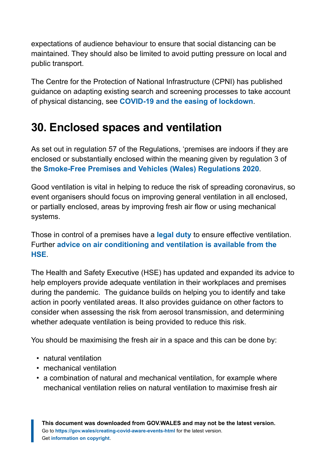expectations of audience behaviour to ensure that social distancing can be maintained. They should also be limited to avoid putting pressure on local and public transport.

The Centre for the Protection of National Infrastructure (CPNI) has published guidance on adapting existing search and screening processes to take account of physical distancing, see **[COVID-19 and the easing of lockdown](https://www.cpni.gov.uk/covid-19-easing-lockdown)**.

### <span id="page-33-0"></span>**30. Enclosed spaces and ventilation**

As set out in regulation 57 of the Regulations, 'premises are indoors if they are enclosed or substantially enclosed within the meaning given by regulation 3 of the **[Smoke-Free Premises and Vehicles \(Wales\) Regulations 2020](https://www.legislation.gov.uk/wsi/2020/1211/made)**.

Good ventilation is vital in helping to reduce the risk of spreading coronavirus, so event organisers should focus on improving general ventilation in all enclosed, or partially enclosed, areas by improving fresh air flow or using mechanical systems.

Those in control of a premises have a **[legal duty](https://eur01.safelinks.protection.outlook.com/?url=https%3A%2F%2Fwww.hse.gov.uk%2FpUbns%2Fpriced%2Fl24.pdf&data=04%7C01%7CCOVID19.PublicHealthGuidance.Clearance%40gov.wales%7Ca25d9a1e89194444794208d9033ce18a%7Ca2cc36c592804ae78887d06dab89216b%7C0%7C0%7C637544382275330636%7CUnknown%7CTWFpbGZsb3d8eyJWIjoiMC4wLjAwMDAiLCJQIjoiV2luMzIiLCJBTiI6Ik1haWwiLCJXVCI6Mn0%3D%7C1000&sdata=Prw3NCOLHcd%2BL1yTvu1Lsbh2yhiv7u0FceHysI0gnOM%3D&reserved=0)** to ensure effective ventilation. Further **[advice on air conditioning and ventilation is available from the](https://www.hse.gov.uk/coronavirus/equipment-and-machinery/air-conditioning-and-ventilation/index.htm) [HSE](https://www.hse.gov.uk/coronavirus/equipment-and-machinery/air-conditioning-and-ventilation/index.htm)**.

The Health and Safety Executive (HSE) has updated and expanded its advice to help employers provide adequate ventilation in their workplaces and premises during the pandemic. The guidance builds on helping you to identify and take action in poorly ventilated areas. It also provides guidance on other factors to consider when assessing the risk from aerosol transmission, and determining whether adequate ventilation is being provided to reduce this risk.

You should be maximising the fresh air in a space and this can be done by:

- natural ventilation
- mechanical ventilation
- a combination of natural and mechanical ventilation, for example where mechanical ventilation relies on natural ventilation to maximise fresh air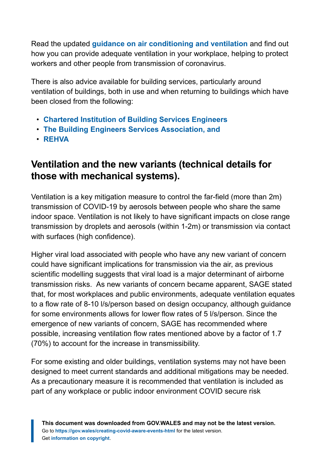Read the updated **[guidance on air conditioning and ventilation](https://eur01.safelinks.protection.outlook.com/?url=https%3A%2F%2Fwww.hse.gov.uk%2Fcoronavirus%2Fequipment-and-machinery%2Fair-conditioning-and-ventilation%2F&data=04%7C01%7CCOVID19.PublicHealthGuidance.Clearance%40gov.wales%7Ca25d9a1e89194444794208d9033ce18a%7Ca2cc36c592804ae78887d06dab89216b%7C0%7C0%7C637544382275340589%7CUnknown%7CTWFpbGZsb3d8eyJWIjoiMC4wLjAwMDAiLCJQIjoiV2luMzIiLCJBTiI6Ik1haWwiLCJXVCI6Mn0%3D%7C1000&sdata=cmzf4ZBpMISYA3tk3MpPcSWYeOjsqKvTPPwqVWtCjlE%3D&reserved=0)** and find out how you can provide adequate ventilation in your workplace, helping to protect workers and other people from transmission of coronavirus.

There is also advice available for building services, particularly around ventilation of buildings, both in use and when returning to buildings which have been closed from the following:

- **[Chartered Institution of Building Services Engineers](https://eur01.safelinks.protection.outlook.com/?url=https%3A%2F%2Fwww.cibse.org%2Fcoronavirus-covid-19%2Femerging-from-lockdown&data=04%7C01%7CCOVID19.PublicHealthGuidance.Clearance%40gov.wales%7Ca25d9a1e89194444794208d9033ce18a%7Ca2cc36c592804ae78887d06dab89216b%7C0%7C0%7C637544382275340589%7CUnknown%7CTWFpbGZsb3d8eyJWIjoiMC4wLjAwMDAiLCJQIjoiV2luMzIiLCJBTiI6Ik1haWwiLCJXVCI6Mn0%3D%7C1000&sdata=8uPWYNv7qcQHLQgfg8YTf5ma1SvRF7LUF54u4VSvRSU%3D&reserved=0)**
- **[The Building Engineers Services Association, and](https://eur01.safelinks.protection.outlook.com/?url=https%3A%2F%2Fwww.thebesa.com%2Fmedia%2F837569%2Fupdated-9the-april-refcom-tb-48-4-covid19-ac-systems.pdf&data=04%7C01%7CCOVID19.PublicHealthGuidance.Clearance%40gov.wales%7Ca25d9a1e89194444794208d9033ce18a%7Ca2cc36c592804ae78887d06dab89216b%7C0%7C0%7C637544382275350545%7CUnknown%7CTWFpbGZsb3d8eyJWIjoiMC4wLjAwMDAiLCJQIjoiV2luMzIiLCJBTiI6Ik1haWwiLCJXVCI6Mn0%3D%7C1000&sdata=gCkQqP58TzOKP506qQqJEy8VjpdQnRlCQH5emtqR7xk%3D&reserved=0)**
- **[REHVA](https://eur01.safelinks.protection.outlook.com/?url=https%3A%2F%2Fwww.rehva.eu%2Ffileadmin%2Fuser_upload%2FREHVA_COVID-19_guidance_document_ver2_20200403_1.pdf&data=04%7C01%7CCOVID19.PublicHealthGuidance.Clearance%40gov.wales%7Ca25d9a1e89194444794208d9033ce18a%7Ca2cc36c592804ae78887d06dab89216b%7C0%7C0%7C637544382275350545%7CUnknown%7CTWFpbGZsb3d8eyJWIjoiMC4wLjAwMDAiLCJQIjoiV2luMzIiLCJBTiI6Ik1haWwiLCJXVCI6Mn0%3D%7C1000&sdata=d7TAvTauV4pZ%2Bju%2FfdFFR23XdQUnTzkg2l0WY%2FxQwkE%3D&reserved=0)**

#### **Ventilation and the new variants (technical details for those with mechanical systems).**

Ventilation is a key mitigation measure to control the far-field (more than 2m) transmission of COVID-19 by aerosols between people who share the same indoor space. Ventilation is not likely to have significant impacts on close range transmission by droplets and aerosols (within 1-2m) or transmission via contact with surfaces (high confidence).

Higher viral load associated with people who have any new variant of concern could have significant implications for transmission via the air, as previous scientific modelling suggests that viral load is a major determinant of airborne transmission risks. As new variants of concern became apparent, SAGE stated that, for most workplaces and public environments, adequate ventilation equates to a flow rate of 8-10 l/s/person based on design occupancy, although guidance for some environments allows for lower flow rates of 5 l/s/person. Since the emergence of new variants of concern, SAGE has recommended where possible, increasing ventilation flow rates mentioned above by a factor of 1.7 (70%) to account for the increase in transmissibility.

For some existing and older buildings, ventilation systems may not have been designed to meet current standards and additional mitigations may be needed. As a precautionary measure it is recommended that ventilation is included as part of any workplace or public indoor environment COVID secure risk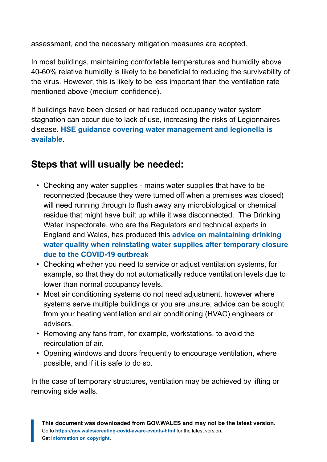assessment, and the necessary mitigation measures are adopted.

In most buildings, maintaining comfortable temperatures and humidity above 40-60% relative humidity is likely to be beneficial to reducing the survivability of the virus. However, this is likely to be less important than the ventilation rate mentioned above (medium confidence).

If buildings have been closed or had reduced occupancy water system stagnation can occur due to lack of use, increasing the risks of Legionnaires disease. **[HSE guidance covering water management and legionella is](https://www.hse.gov.uk/coronavirus/legionella-risks-during-coronavirus-outbreak.htm) [available](https://www.hse.gov.uk/coronavirus/legionella-risks-during-coronavirus-outbreak.htm)**.

#### **Steps that will usually be needed:**

- Checking any water supplies mains water supplies that have to be reconnected (because they were turned off when a premises was closed) will need running through to flush away any microbiological or chemical residue that might have built up while it was disconnected. The Drinking Water Inspectorate, who are the Regulators and technical experts in England and Wales, has produced this **[advice on maintaining drinking](https://cdn.dwi.gov.uk/wp-content/uploads/2020/11/24102459/Advice-Letter-AL02-2020.pdf) [water quality when reinstating water supplies after temporary closure](https://cdn.dwi.gov.uk/wp-content/uploads/2020/11/24102459/Advice-Letter-AL02-2020.pdf) [due to the COVID-19 outbreak](https://cdn.dwi.gov.uk/wp-content/uploads/2020/11/24102459/Advice-Letter-AL02-2020.pdf)**
- Checking whether you need to service or adjust ventilation systems, for example, so that they do not automatically reduce ventilation levels due to lower than normal occupancy levels.
- Most air conditioning systems do not need adjustment, however where systems serve multiple buildings or you are unsure, advice can be sought from your heating ventilation and air conditioning (HVAC) engineers or advisers.
- Removing any fans from, for example, workstations, to avoid the recirculation of air.
- Opening windows and doors frequently to encourage ventilation, where possible, and if it is safe to do so.

In the case of temporary structures, ventilation may be achieved by lifting or removing side walls.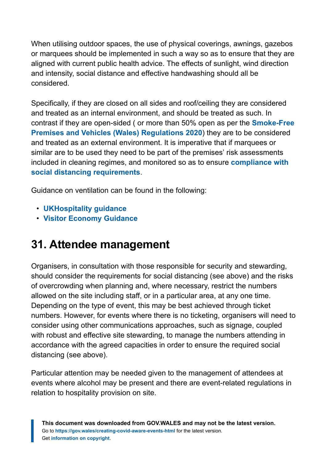When utilising outdoor spaces, the use of physical coverings, awnings, gazebos or marquees should be implemented in such a way so as to ensure that they are aligned with current public health advice. The effects of sunlight, wind direction and intensity, social distance and effective handwashing should all be considered.

Specifically, if they are closed on all sides and roof/ceiling they are considered and treated as an internal environment, and should be treated as such. In contrast if they are open-sided ( or more than 50% open as per the **[Smoke-Free](https://www.legislation.gov.uk/wsi/2020/1211/made) [Premises and Vehicles \(Wales\) Regulations 2020](https://www.legislation.gov.uk/wsi/2020/1211/made)**) they are to be considered and treated as an external environment. It is imperative that if marquees or similar are to be used they need to be part of the premises' risk assessments included in cleaning regimes, and monitored so as to ensure **[compliance with](https://gov.wales/creating-safer-public-places-coronavirus) [social distancing](https://gov.wales/creating-safer-public-places-coronavirus) requirements**.

Guidance on ventilation can be found in the following:

- **[UKHospitality guidance](https://www.ukhospitality.org.uk/page/UKHospitalityGuidanceforHospitality)**
- **[Visitor Economy Guidance](https://gov.wales/guidance-for-tourism-and-hospitality-businesses-coronavirus)**

### <span id="page-36-0"></span>**31. Attendee management**

Organisers, in consultation with those responsible for security and stewarding, should consider the requirements for social distancing (see above) and the risks of overcrowding when planning and, where necessary, restrict the numbers allowed on the site including staff, or in a particular area, at any one time. Depending on the type of event, this may be best achieved through ticket numbers. However, for events where there is no ticketing, organisers will need to consider using other communications approaches, such as signage, coupled with robust and effective site stewarding, to manage the numbers attending in accordance with the agreed capacities in order to ensure the required social distancing (see above).

Particular attention may be needed given to the management of attendees at events where alcohol may be present and there are event-related regulations in relation to hospitality provision on site.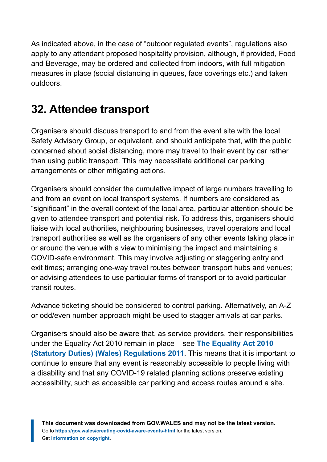As indicated above, in the case of "outdoor regulated events", regulations also apply to any attendant proposed hospitality provision, although, if provided, Food and Beverage, may be ordered and collected from indoors, with full mitigation measures in place (social distancing in queues, face coverings etc.) and taken outdoors.

### <span id="page-37-0"></span>**32. Attendee transport**

Organisers should discuss transport to and from the event site with the local Safety Advisory Group, or equivalent, and should anticipate that, with the public concerned about social distancing, more may travel to their event by car rather than using public transport. This may necessitate additional car parking arrangements or other mitigating actions.

Organisers should consider the cumulative impact of large numbers travelling to and from an event on local transport systems. If numbers are considered as "significant" in the overall context of the local area, particular attention should be given to attendee transport and potential risk. To address this, organisers should liaise with local authorities, neighbouring businesses, travel operators and local transport authorities as well as the organisers of any other events taking place in or around the venue with a view to minimising the impact and maintaining a COVID-safe environment. This may involve adjusting or staggering entry and exit times; arranging one-way travel routes between transport hubs and venues; or advising attendees to use particular forms of transport or to avoid particular transit routes.

Advance ticketing should be considered to control parking. Alternatively, an A-Z or odd/even number approach might be used to stagger arrivals at car parks.

Organisers should also be aware that, as service providers, their responsibilities under the Equality Act 2010 remain in place – see **[The Equality Act 2010](https://www.legislation.gov.uk/wsi/2011/1064/contents/made) [\(Statutory Duties\) \(Wales\) Regulations 2011](https://www.legislation.gov.uk/wsi/2011/1064/contents/made)**. This means that it is important to continue to ensure that any event is reasonably accessible to people living with a disability and that any COVID-19 related planning actions preserve existing accessibility, such as accessible car parking and access routes around a site.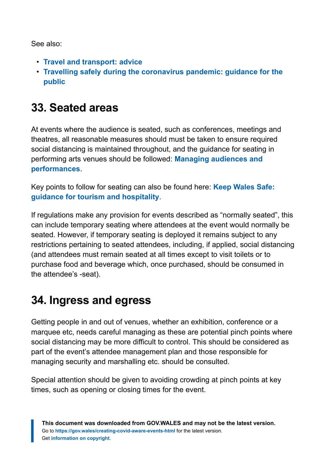See also:

- **[Travel and transport: advice](https://gov.wales/travel-and-transport-advice)**
- **[Travelling safely during the coronavirus pandemic: guidance for the](https://gov.wales/travelling-safely-during-coronavirus-pandemic-guidance-public-html) [public](https://gov.wales/travelling-safely-during-coronavirus-pandemic-guidance-public-html)**

### <span id="page-38-0"></span>**33. Seated areas**

At events where the audience is seated, such as conferences, meetings and theatres, all reasonable measures should must be taken to ensure required social distancing is maintained throughout, and the guidance for seating in performing arts venues should be followed: **[Managing audiences and](https://gov.wales/rehearsing-performing-and-taking-part-performing-arts-guidance-phased-return-html#section-55138) [performances](https://gov.wales/rehearsing-performing-and-taking-part-performing-arts-guidance-phased-return-html#section-55138)**.

Key points to follow for seating can also be found here: **[Keep Wales Safe:](https://gov.wales/guidance-for-tourism-and-hospitality-businesses-coronavirus-html) [guidance for tourism and hospitality](https://gov.wales/guidance-for-tourism-and-hospitality-businesses-coronavirus-html)**.

If regulations make any provision for events described as "normally seated", this can include temporary seating where attendees at the event would normally be seated. However, if temporary seating is deployed it remains subject to any restrictions pertaining to seated attendees, including, if applied, social distancing (and attendees must remain seated at all times except to visit toilets or to purchase food and beverage which, once purchased, should be consumed in the attendee's -seat).

### <span id="page-38-1"></span>**34. Ingress and egress**

Getting people in and out of venues, whether an exhibition, conference or a marquee etc, needs careful managing as these are potential pinch points where social distancing may be more difficult to control. This should be considered as part of the event's attendee management plan and those responsible for managing security and marshalling etc. should be consulted.

Special attention should be given to avoiding crowding at pinch points at key times, such as opening or closing times for the event.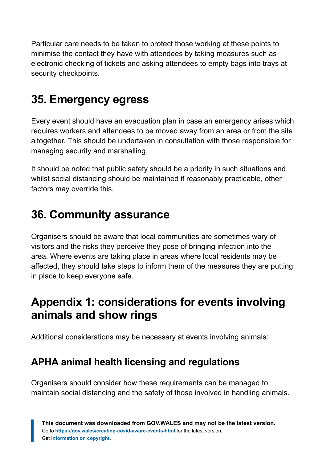Particular care needs to be taken to protect those working at these points to minimise the contact they have with attendees by taking measures such as electronic checking of tickets and asking attendees to empty bags into trays at security checkpoints.

### <span id="page-39-0"></span>**35. Emergency egress**

Every event should have an evacuation plan in case an emergency arises which requires workers and attendees to be moved away from an area or from the site altogether. This should be undertaken in consultation with those responsible for managing security and marshalling.

It should be noted that public safety should be a priority in such situations and whilst social distancing should be maintained if reasonably practicable, other factors may override this.

#### <span id="page-39-1"></span>**36. Community assurance**

Organisers should be aware that local communities are sometimes wary of visitors and the risks they perceive they pose of bringing infection into the area. Where events are taking place in areas where local residents may be affected, they should take steps to inform them of the measures they are putting in place to keep everyone safe.

### <span id="page-39-2"></span>**Appendix 1: considerations for events involving animals and show rings**

Additional considerations may be necessary at events involving animals:

#### **APHA animal health licensing and regulations**

Organisers should consider how these requirements can be managed to maintain social distancing and the safety of those involved in handling animals.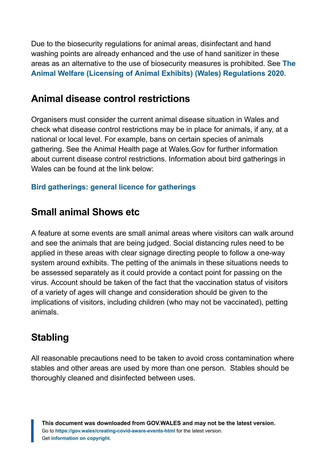Due to the biosecurity regulations for animal areas, disinfectant and hand washing points are already enhanced and the use of hand sanitizer in these areas as an alternative to the use of biosecurity measures is prohibited. See **[The](https://gov.wales/sites/default/files/consultations/2019-08/animal-welfare-licensing-of-animal-exhibits-wales-regulations-2020-guidance.pdf) [Animal Welfare \(Licensing of Animal Exhibits\) \(Wales\) Regulations 2020](https://gov.wales/sites/default/files/consultations/2019-08/animal-welfare-licensing-of-animal-exhibits-wales-regulations-2020-guidance.pdf)**.

#### **Animal disease control restrictions**

Organisers must consider the current animal disease situation in Wales and check what disease control restrictions may be in place for animals, if any, at a national or local level. For example, bans on certain species of animals gathering. See the Animal Health page at Wales.Gov for further information about current disease control restrictions. Information about bird gatherings in Wales can be found at the link below:

#### **[Bird gatherings: general licence for gatherings](https://gov.wales/bird-gatheringsgeneral-licence-gatherings)**

#### **Small animal Shows etc**

A feature at some events are small animal areas where visitors can walk around and see the animals that are being judged. Social distancing rules need to be applied in these areas with clear signage directing people to follow a one-way system around exhibits. The petting of the animals in these situations needs to be assessed separately as it could provide a contact point for passing on the virus. Account should be taken of the fact that the vaccination status of visitors of a variety of ages will change and consideration should be given to the implications of visitors, including children (who may not be vaccinated), petting animals.

#### **Stabling**

All reasonable precautions need to be taken to avoid cross contamination where stables and other areas are used by more than one person. Stables should be thoroughly cleaned and disinfected between uses.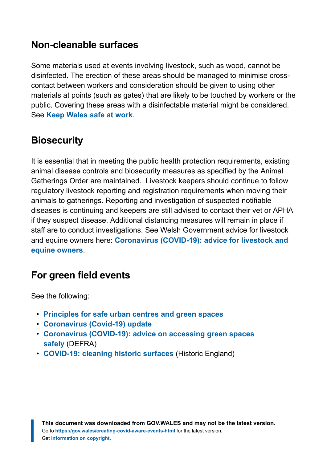#### **Non-cleanable surfaces**

Some materials used at events involving livestock, such as wood, cannot be disinfected. The erection of these areas should be managed to minimise crosscontact between workers and consideration should be given to using other materials at points (such as gates) that are likely to be touched by workers or the public. Covering these areas with a disinfectable material might be considered. See **[Keep Wales safe at work](https://gov.wales/keep-wales-safe-work-html)**.

#### **Biosecurity**

It is essential that in meeting the public health protection requirements, existing animal disease controls and biosecurity measures as specified by the Animal Gatherings Order are maintained. Livestock keepers should continue to follow regulatory livestock reporting and registration requirements when moving their animals to gatherings. Reporting and investigation of suspected notifiable diseases is continuing and keepers are still advised to contact their vet or APHA if they suspect disease. Additional distancing measures will remain in place if staff are to conduct investigations. See Welsh Government advice for livestock and equine owners here: **[Coronavirus \(COVID-19\): advice for livestock and](https://gov.wales/coronavirus-covid-19-advice-livestock-and-equine-owners) [equine owners](https://gov.wales/coronavirus-covid-19-advice-livestock-and-equine-owners)**.

#### **For green field events**

See the following:

- **[Principles for safe urban centres and green spaces](https://gov.wales/principles-safe-urban-centres-and-green-spaces-html)**
- **[Coronavirus \(Covid-19\) update](https://www.oss.org.uk/covid-19-update/)**
- **[Coronavirus \(COVID-19\): advice on accessing green spaces](https://www.gov.uk/guidance/coronavirus-covid-19-advice-on-accessing-green-spaces-safely) [safely](https://www.gov.uk/guidance/coronavirus-covid-19-advice-on-accessing-green-spaces-safely)** (DEFRA)
- **[COVID-19: cleaning historic surfaces](https://eur01.safelinks.protection.outlook.com/?url=https%3A%2F%2Fhistoricengland.org.uk%2Fcoronavirus%2Fhistoric-places%2Fcleaning-historic-surfaces%2F&data=04%7C01%7CHelen.Butler%40gov.wales%7Cb93a9c7610b24a940b1308d8f91018cf%7Ca2cc36c592804ae78887d06dab89216b%7C0%7C0%7C637533194817930856%7CUnknown%7CTWFpbGZsb3d8eyJWIjoiMC4wLjAwMDAiLCJQIjoiV2luMzIiLCJBTiI6Ik1haWwiLCJXVCI6Mn0%3D%7C1000&sdata=2LK%2FPujy7TuYSAn60HMpBLyEcN%2FqvEaohUxyjRI8ZtQ%3D&reserved=0)** (Historic England)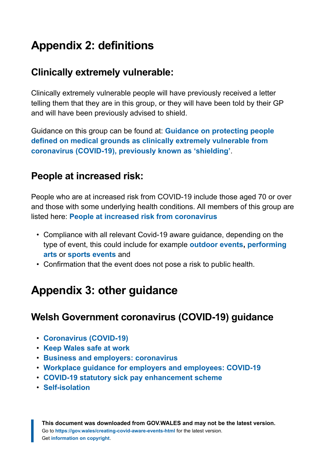## <span id="page-42-0"></span>**Appendix 2: definitions**

#### **Clinically extremely vulnerable:**

Clinically extremely vulnerable people will have previously received a letter telling them that they are in this group, or they will have been told by their GP and will have been previously advised to shield.

Guidance on this group can be found at: **[Guidance on protecting people](https://gov.wales/guidance-protecting-people-defined-medical-grounds-clinically-extremely-vulnerable-coronavirus) [defined on medical grounds as clinically extremely vulnerable from](https://gov.wales/guidance-protecting-people-defined-medical-grounds-clinically-extremely-vulnerable-coronavirus) coronavirus (COVID-19), [previously known as 'shielding'](https://gov.wales/guidance-protecting-people-defined-medical-grounds-clinically-extremely-vulnerable-coronavirus)**.

#### **People at increased risk:**

People who are at increased risk from COVID-19 include those aged 70 or over and those with some underlying health conditions. All members of this group are listed here: **[People at increased risk from coronavirus](https://gov.wales/people-increased-risk-coronavirus)**

- Compliance with all relevant Covid-19 aware guidance, depending on the type of event, this could include for example **[outdoor events](https://www.eventsindustryforum.co.uk/index.php/11-features/14-keeping-workers-and-audiences-safe-during-covid-19), [performing](https://gov.wales/rehearsing-performing-and-taking-part-performing-arts-guidance-phased-return-html) [arts](https://gov.wales/rehearsing-performing-and-taking-part-performing-arts-guidance-phased-return-html)** or **[sports events](https://gov.wales/sport-recreation-and-leisure-guidance-phased-return-html)** and
- Confirmation that the event does not pose a risk to public health.

### <span id="page-42-1"></span>**Appendix 3: other guidance**

#### **Welsh Government coronavirus (COVID-19) guidance**

- **[Coronavirus \(COVID-19\)](https://gov.wales/coronavirus)**
- **[Keep Wales safe at work](https://gov.wales/keep-wales-safe-work-html)**
- **[Business and employers: coronavirus](https://gov.wales/business-and-employers-coronavirus)**
- **[Workplace guidance for employers and employees: COVID-19](https://gov.wales/workplace-guidance-employers-and-employees-covid-19)**
- **[COVID-19 statutory sick pay enhancement scheme](https://gov.wales/covid-19-statutory-sick-pay-enhancement-scheme)**
- **[Self-isolation](https://gov.wales/self-isolation)**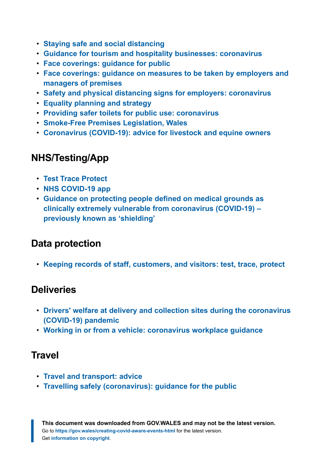- **[Staying safe and social distancing](https://gov.wales/staying-safe-social-distancing)**
- **[Guidance for tourism and hospitality businesses: coronavirus](https://gov.wales/guidance-for-tourism-and-hospitality-businesses-coronavirus)**
- **[Face coverings: guidance for public](https://gov.wales/face-coverings-guidance-public#section-52202)**
- **[Face coverings: guidance on measures to be taken by employers and](https://gov.wales/face-coverings-guidance-measures-be-taken-employers-and-managers-premises) [managers of premises](https://gov.wales/face-coverings-guidance-measures-be-taken-employers-and-managers-premises)**
- **[Safety and physical distancing signs for employers: coronavirus](https://gov.wales/safety-and-physical-distancing-signs-employers-coronavirus)**
- **[Equality planning and strategy](https://gov.wales/equality-planning-strategy)**
- **[Providing safer toilets for public use: coronavirus](https://gov.wales/providing-safer-toilets-public-use-coronavirus-html)**
- **[Smoke-Free Premises Legislation, Wales](https://www.legislation.gov.uk/wsi/2007/787/contents/made)**
- **[Coronavirus \(COVID-19\): advice for livestock and equine owners](https://gov.wales/coronavirus-covid-19-advice-livestock-and-equine-owners)**

#### **NHS/Testing/App**

- **[Test Trace Protect](https://gov.wales/test-trace-protect)**
- **[NHS COVID-19 app](https://gov.wales/nhs-covid-19-app)**
- **[Guidance on protecting people defined on medical grounds as](https://gov.wales/guidance-protecting-people-defined-medical-grounds-clinically-extremely-vulnerable-coronavirus) [clinically extremely vulnerable from coronavirus \(COVID-19\) –](https://gov.wales/guidance-protecting-people-defined-medical-grounds-clinically-extremely-vulnerable-coronavirus) [previously known as 'shielding'](https://gov.wales/guidance-protecting-people-defined-medical-grounds-clinically-extremely-vulnerable-coronavirus)**

#### **Data protection**

• **[Keeping records of staff, customers, and visitors: test, trace, protect](https://gov.wales/keeping-records-staff-customers-and-visitors-test-trace-protect)**

#### **Deliveries**

- **[Drivers' welfare at delivery and collection sites during the coronavirus](https://www.hse.gov.uk/coronavirus/drivers-transport-delivery.htm) [\(COVID-19\) pandemic](https://www.hse.gov.uk/coronavirus/drivers-transport-delivery.htm)**
- **[Working in or from a vehicle: coronavirus workplace guidance](https://gov.wales/working-or-vehicle-coronavirus-workplace-guidance)**

#### **Travel**

- **[Travel and transport: advice](https://gov.wales/travel-and-transport-advice)**
- **[Travelling safely \(coronavirus\): guidance for the public](https://gov.wales/travelling-safely-coronavirus-guidance-public)**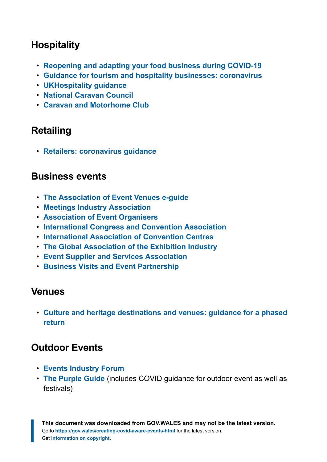#### **Hospitality**

- **[Reopening and adapting your food business during COVID-19](https://www.food.gov.uk/business-guidance/reopening-and-adapting-your-food-business-during-covid-19)**
- **[Guidance for tourism and hospitality businesses: coronavirus](https://gov.wales/guidance-for-tourism-and-hospitality-businesses-coronavirus)**
- **[UKHospitality guidance](https://www.ukhospitality.org.uk/page/UKHospitalityGuidanceforHospitality)**
- **[National Caravan Council](https://www.thencc.org.uk/)**
- **[Caravan and Motorhome Club](https://www.caravanclub.co.uk/)**

#### **Retailing**

• **[Retailers: coronavirus guidance](https://gov.wales/retailers-coronavirus-guidance)**

#### **Business events**

- **[The Association of Event Venues e-guide](https://www.aev.org.uk/e-guide)**
- **[Meetings Industry Association](https://www.mia-uk.org/)**
- **[Association of Event Organisers](https://www.aeo.org.uk/covid-19)**
- **[International Congress and Convention Association](https://www.iccaworld.org/)**
- **[International Association of Convention Centres](https://aipc.org/)**
- **[The Global Association of the Exhibition Industry](https://www.ufi.org/)**
- **[Event Supplier and Services Association](https://www.essa.uk.com/)**
- **[Business Visits and Event Partnership](https://www.businessvisitsandeventspartnership.com/)**

#### **Venues**

• **[Culture and heritage destinations and venues: guidance for a phased](https://gov.wales/culture-and-heritage-destinations-and-venues-guidance-phased-return) [return](https://gov.wales/culture-and-heritage-destinations-and-venues-guidance-phased-return)**

#### **Outdoor Events**

- **[Events Industry Forum](https://www.eventsindustryforum.co.uk/index.php/11-features/14-keeping-workers-and-audiences-safe-during-covid-19)**
- **[The Purple Guide](https://www.thepurpleguide.co.uk/)** (includes COVID guidance for outdoor event as well as festivals)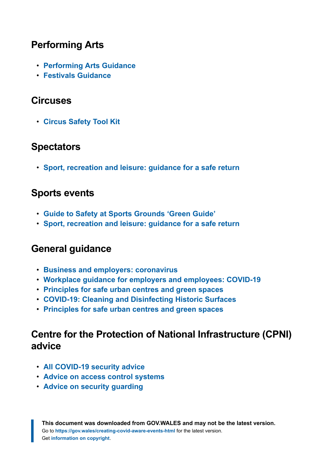#### **Performing Arts**

- **[Performing Arts Guidance](https://gov.wales/rehearsing-performing-and-taking-part-performing-arts-guidance-phased-return-html)**
- **[Festivals Guidance](https://www.thepurpleguide.co.uk/index.php/the-purple-guide/information-news-updates/121-new-covid-19-planning-guidance-published-for-uk-festivals)**

#### **Circuses**

• **[Circus Safety Tool Kit](https://circusgb.com/safety-tool-kit)**

#### **Spectators**

• **[Sport, recreation and leisure: guidance for a safe return](https://gov.wales/sport-recreation-and-leisure-guidance-phased-return-html)**

#### **Sports events**

- **[Guide to Safety at Sports Grounds 'Green Guide'](https://sgsa.org.uk/greenguide/)**
- **[Sport, recreation and leisure: guidance for a safe return](https://gov.wales/sport-recreation-and-leisure-guidance-phased-return-html)**

#### **General guidance**

- **[Business and employers: coronavirus](https://gov.wales/business-and-employers-coronavirus)**
- **[Workplace guidance for employers and employees: COVID-19](https://gov.wales/workplace-guidance-employers-and-employees-covid-19)**
- **[Principles for safe urban centres and green spaces](https://gov.wales/principles-safe-urban-centres-and-green-spaces-html)**
- **[COVID-19: Cleaning and Disinfecting Historic Surfaces](https://historicengland.org.uk/coronavirus/historic-places/cleaning-disinfecting-historic-surfaces/)**
- **[Principles for safe urban centres and green spaces](https://gov.wales/principles-safe-urban-centres-and-green-spaces-html)**

#### **Centre for the Protection of National Infrastructure (CPNI) advice**

- **All COVID-19 [security advice](https://www.cpni.gov.uk/staying-secure-during-covid-19-0)**
- **[Advice on access control systems](https://www.cpni.gov.uk/system/files/documents/9c/3d/COVID-AACS%20copy%203%20%20%20-%20%20Read-Only.pdf)**
- **[Advice on security guarding](https://www.cpni.gov.uk/system/files/documents/9a/55/COVID-Guard%20force%20response%20v0.2%20%20-%20%20Read-Only.pdf)**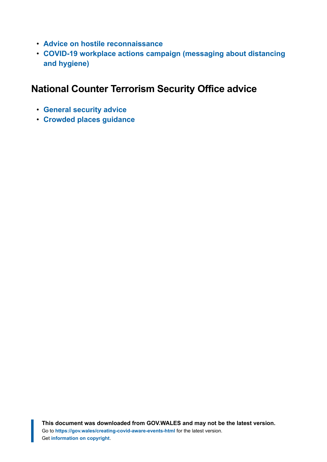- **[Advice on hostile reconnaissance](https://www.cpni.gov.uk/system/files/documents/23/de/understanding-hostile-reconnaissance-understanding-and-countering-the-threat.pdf)**
- **COVID-19 [workplace actions campaign \(messaging about distancing](https://www.cpni.gov.uk/covid-19-workplace-actions-0) [and hygiene\)](https://www.cpni.gov.uk/covid-19-workplace-actions-0)**

#### **National Counter Terrorism Security Office advice**

- **[General security advice](https://www.gov.uk/government/organisations/national-counter-terrorism-security-office)**
- **[Crowded places guidance](https://www.gov.uk/government/publications/crowded-places-guidance)**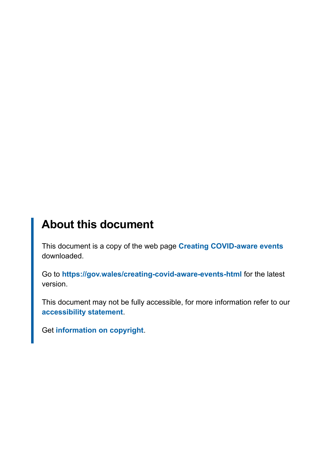### **About this document**

This document is a copy of the web page **[Creating COVID-aware events](https://gov.wales/creating-covid-aware-events-html)** downloaded.

Go to **<https://gov.wales/creating-covid-aware-events-html>** for the latest version.

This document may not be fully accessible, for more information refer to our **[accessibility statement](https://gov.wales/accessibility-statement-govwales)**.

Get **[information on copyright](https://gov.wales/copyright-statement)**.